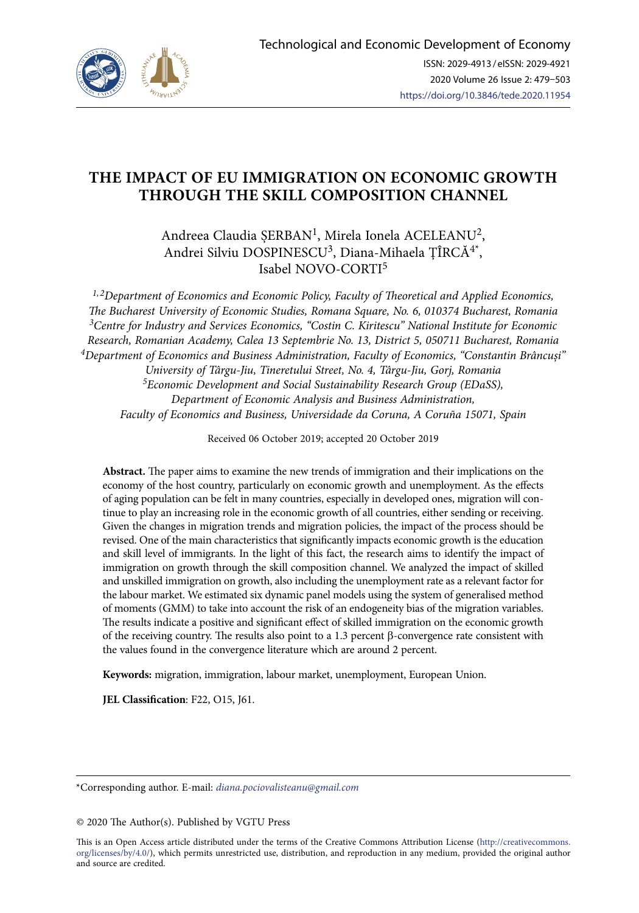

# **THE IMPACT OF EU IMMIGRATION ON ECONOMIC GROWTH THROUGH THE SKILL COMPOSITION CHANNEL**

Andreea Claudia ȘERBAN1, Mirela Ionela ACELEANU2, Andrei Silviu DOSPINESCU<sup>3</sup>, Diana-Mihaela ȚÎRCĂ<sup>4\*</sup>, Isabel NOVO-CORTI<sup>5</sup>

*1, 2Department of Economics and Economic Policy, Faculty of Theoretical and Applied Economics, The Bucharest University of Economic Studies, Romana Square, No. 6, 010374 Bucharest, Romania 3Centre for Industry and Services Economics, "Costin C. Kiritescu" National Institute for Economic Research, Romanian Academy, Calea 13 Septembrie No. 13, District 5, 050711 Bucharest, Romania 4Department of Economics and Business Administration, Faculty of Economics, "Constantin Brâncuși" University of Târgu-Jiu, Tineretului Street, No. 4, Târgu-Jiu, Gorj, Romania 5Economic Development and Social Sustainability Research Group (EDaSS), Department of Economic Analysis and Business Administration, Faculty of Economics and Business, Universidade da Coruna, A Coruña 15071, Spain*

Received 06 October 2019; accepted 20 October 2019

**Abstract.** The paper aims to examine the new trends of immigration and their implications on the economy of the host country, particularly on economic growth and unemployment. As the effects of aging population can be felt in many countries, especially in developed ones, migration will continue to play an increasing role in the economic growth of all countries, either sending or receiving. Given the changes in migration trends and migration policies, the impact of the process should be revised. One of the main characteristics that significantly impacts economic growth is the education and skill level of immigrants. In the light of this fact, the research aims to identify the impact of immigration on growth through the skill composition channel. We analyzed the impact of skilled and unskilled immigration on growth, also including the unemployment rate as a relevant factor for the labour market. We estimated six dynamic panel models using the system of generalised method of moments (GMM) to take into account the risk of an endogeneity bias of the migration variables. The results indicate a positive and significant effect of skilled immigration on the economic growth of the receiving country. The results also point to a 1.3 percent β-convergence rate consistent with the values found in the convergence literature which are around 2 percent.

**Keywords:** migration, immigration, labour market, unemployment, European Union.

**JEL Classification**: F22, O15, J61.

\*Corresponding author. E-mail: *diana.pociovalisteanu@gmail.com*

© 2020 The Author(s). Published by VGTU Press

This is an Open Access article distributed under the terms of the Creative Commons Attribution License ([http://creativecommons.](http://dx.doi.org/10.1016/S0377-2217(03)00091-2) [org/licenses/by/4.0/\)](http://dx.doi.org/10.1016/S0377-2217(03)00091-2), which permits unrestricted use, distribution, and reproduction in any medium, provided the original author and source are credited.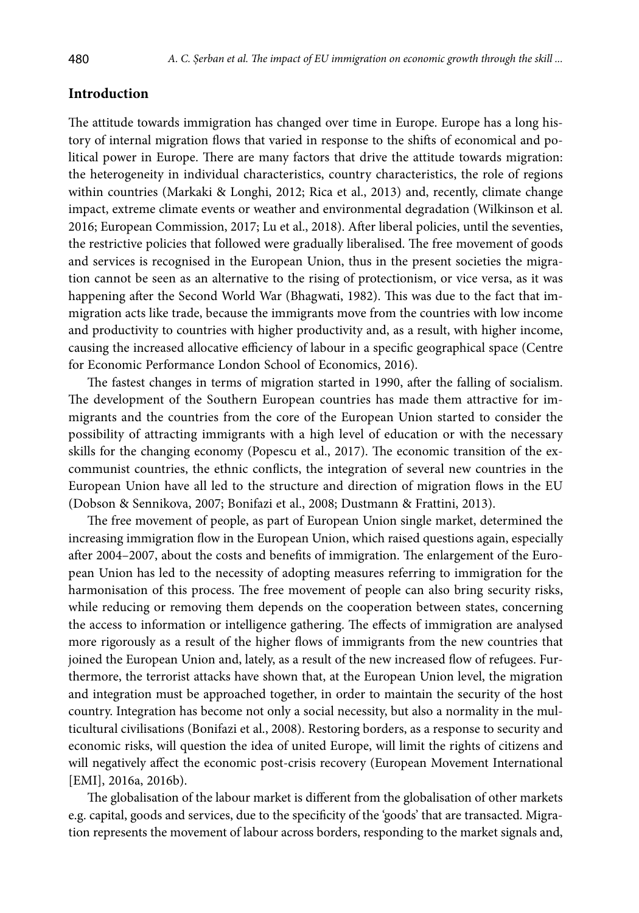# **Introduction**

The attitude towards immigration has changed over time in Europe. Europe has a long history of internal migration flows that varied in response to the shifts of economical and political power in Europe. There are many factors that drive the attitude towards migration: the heterogeneity in individual characteristics, country characteristics, the role of regions within countries (Markaki & Longhi, 2012; Rica et al., 2013) and, recently, climate change impact, extreme climate events or weather and environmental degradation (Wilkinson et al. 2016; European Commission, 2017; Lu et al., 2018). After liberal policies, until the seventies, the restrictive policies that followed were gradually liberalised. The free movement of goods and services is recognised in the European Union, thus in the present societies the migration cannot be seen as an alternative to the rising of protectionism, or vice versa, as it was happening after the Second World War (Bhagwati, 1982). This was due to the fact that immigration acts like trade, because the immigrants move from the countries with low income and productivity to countries with higher productivity and, as a result, with higher income, causing the increased allocative efficiency of labour in a specific geographical space (Centre for Economic Performance London School of Economics, 2016).

The fastest changes in terms of migration started in 1990, after the falling of socialism. The development of the Southern European countries has made them attractive for immigrants and the countries from the core of the European Union started to consider the possibility of attracting immigrants with a high level of education or with the necessary skills for the changing economy (Popescu et al., 2017). The economic transition of the excommunist countries, the ethnic conflicts, the integration of several new countries in the European Union have all led to the structure and direction of migration flows in the EU (Dobson & Sennikova, 2007; Bonifazi et al., 2008; Dustmann & Frattini, 2013).

The free movement of people, as part of European Union single market, determined the increasing immigration flow in the European Union, which raised questions again, especially after 2004–2007, about the costs and benefits of immigration. The enlargement of the European Union has led to the necessity of adopting measures referring to immigration for the harmonisation of this process. The free movement of people can also bring security risks, while reducing or removing them depends on the cooperation between states, concerning the access to information or intelligence gathering. The effects of immigration are analysed more rigorously as a result of the higher flows of immigrants from the new countries that joined the European Union and, lately, as a result of the new increased flow of refugees. Furthermore, the terrorist attacks have shown that, at the European Union level, the migration and integration must be approached together, in order to maintain the security of the host country. Integration has become not only a social necessity, but also a normality in the multicultural civilisations (Bonifazi et al., 2008). Restoring borders, as a response to security and economic risks, will question the idea of united Europe, will limit the rights of citizens and will negatively affect the economic post-crisis recovery (European Movement International [EMI], 2016a, 2016b).

The globalisation of the labour market is different from the globalisation of other markets e.g. capital, goods and services, due to the specificity of the 'goods' that are transacted. Migration represents the movement of labour across borders, responding to the market signals and,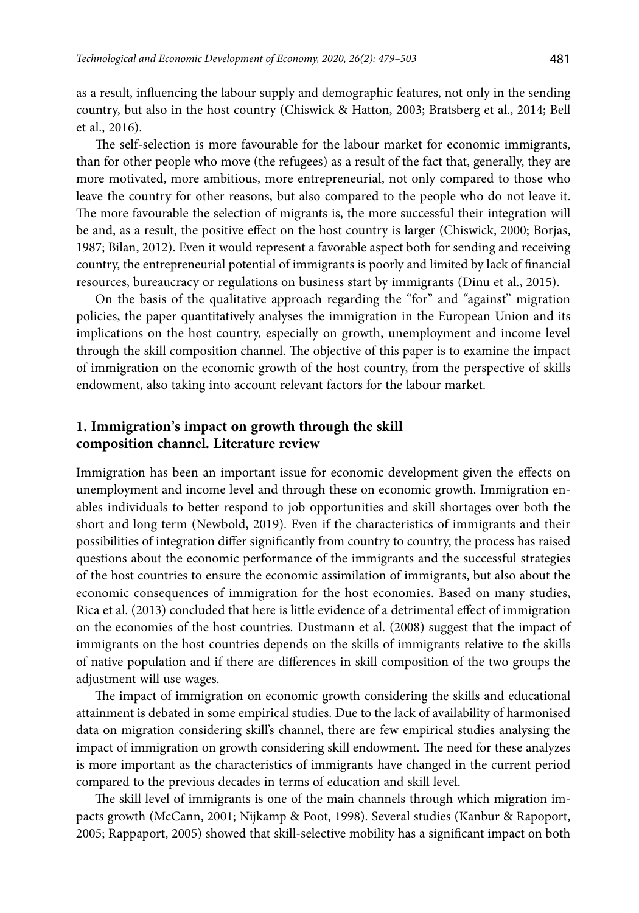as a result, influencing the labour supply and demographic features, not only in the sending country, but also in the host country (Chiswick & Hatton, 2003; Bratsberg et al., 2014; Bell et al., 2016).

The self-selection is more favourable for the labour market for economic immigrants, than for other people who move (the refugees) as a result of the fact that, generally, they are more motivated, more ambitious, more entrepreneurial, not only compared to those who leave the country for other reasons, but also compared to the people who do not leave it. The more favourable the selection of migrants is, the more successful their integration will be and, as a result, the positive effect on the host country is larger (Chiswick, 2000; Borjas, 1987; Bilan, 2012). Even it would represent a favorable aspect both for sending and receiving country, the entrepreneurial potential of immigrants is poorly and limited by lack of financial resources, bureaucracy or regulations on business start by immigrants (Dinu et al., 2015).

On the basis of the qualitative approach regarding the "for" and "against" migration policies, the paper quantitatively analyses the immigration in the European Union and its implications on the host country, especially on growth, unemployment and income level through the skill composition channel. The objective of this paper is to examine the impact of immigration on the economic growth of the host country, from the perspective of skills endowment, also taking into account relevant factors for the labour market.

# **1. Immigration's impact on growth through the skill composition channel. Literature review**

Immigration has been an important issue for economic development given the effects on unemployment and income level and through these on economic growth. Immigration enables individuals to better respond to job opportunities and skill shortages over both the short and long term (Newbold, 2019). Even if the characteristics of immigrants and their possibilities of integration differ significantly from country to country, the process has raised questions about the economic performance of the immigrants and the successful strategies of the host countries to ensure the economic assimilation of immigrants, but also about the economic consequences of immigration for the host economies. Based on many studies, Rica et al. (2013) concluded that here is little evidence of a detrimental effect of immigration on the economies of the host countries. Dustmann et al. (2008) suggest that the impact of immigrants on the host countries depends on the skills of immigrants relative to the skills of native population and if there are differences in skill composition of the two groups the adjustment will use wages.

The impact of immigration on economic growth considering the skills and educational attainment is debated in some empirical studies. Due to the lack of availability of harmonised data on migration considering skill's channel, there are few empirical studies analysing the impact of immigration on growth considering skill endowment. The need for these analyzes is more important as the characteristics of immigrants have changed in the current period compared to the previous decades in terms of education and skill level.

The skill level of immigrants is one of the main channels through which migration impacts growth (McCann, 2001; Nijkamp & Poot, 1998). Several studies (Kanbur & Rapoport, 2005; Rappaport, 2005) showed that skill-selective mobility has a significant impact on both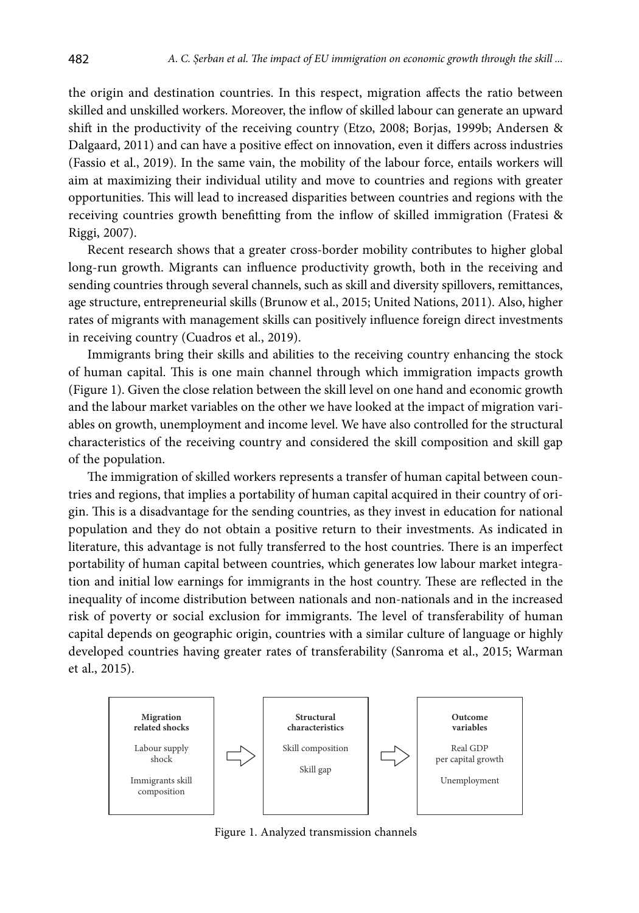the origin and destination countries. In this respect, migration affects the ratio between skilled and unskilled workers. Moreover, the inflow of skilled labour can generate an upward shift in the productivity of the receiving country (Etzo, 2008; Borjas, 1999b; Andersen & Dalgaard, 2011) and can have a positive effect on innovation, even it differs across industries (Fassio et al., 2019). In the same vain, the mobility of the labour force, entails workers will aim at maximizing their individual utility and move to countries and regions with greater opportunities. This will lead to increased disparities between countries and regions with the receiving countries growth benefitting from the inflow of skilled immigration (Fratesi & Riggi, 2007).

Recent research shows that a greater cross-border mobility contributes to higher global long-run growth. Migrants can influence productivity growth, both in the receiving and sending countries through several channels, such as skill and diversity spillovers, remittances, age structure, entrepreneurial skills (Brunow et al., 2015; United Nations, 2011). Also, higher rates of migrants with management skills can positively influence foreign direct investments in receiving country (Cuadros et al., 2019).

Immigrants bring their skills and abilities to the receiving country enhancing the stock of human capital. This is one main channel through which immigration impacts growth (Figure 1). Given the close relation between the skill level on one hand and economic growth and the labour market variables on the other we have looked at the impact of migration variables on growth, unemployment and income level. We have also controlled for the structural characteristics of the receiving country and considered the skill composition and skill gap of the population.

The immigration of skilled workers represents a transfer of human capital between countries and regions, that implies a portability of human capital acquired in their country of origin. This is a disadvantage for the sending countries, as they invest in education for national population and they do not obtain a positive return to their investments. As indicated in literature, this advantage is not fully transferred to the host countries. There is an imperfect portability of human capital between countries, which generates low labour market integration and initial low earnings for immigrants in the host country. These are reflected in the inequality of income distribution between nationals and non-nationals and in the increased risk of poverty or social exclusion for immigrants. The level of transferability of human capital depends on geographic origin, countries with a similar culture of language or highly developed countries having greater rates of transferability (Sanroma et al., 2015; Warman et al., 2015).



Figure 1. Analyzed transmission channels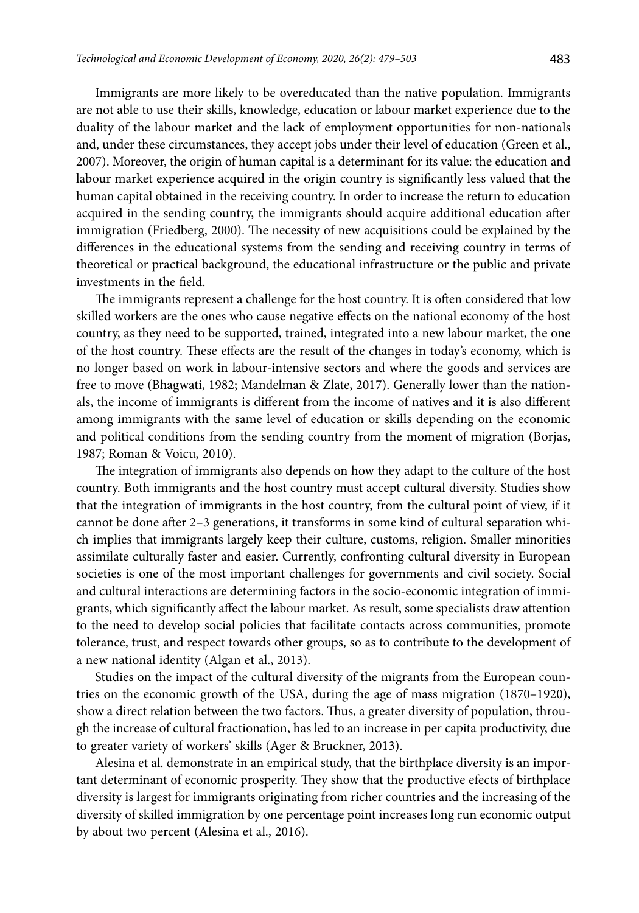Immigrants are more likely to be overeducated than the native population. Immigrants are not able to use their skills, knowledge, education or labour market experience due to the duality of the labour market and the lack of employment opportunities for non-nationals and, under these circumstances, they accept jobs under their level of education (Green et al., 2007). Moreover, the origin of human capital is a determinant for its value: the education and labour market experience acquired in the origin country is significantly less valued that the human capital obtained in the receiving country. In order to increase the return to education acquired in the sending country, the immigrants should acquire additional education after immigration (Friedberg, 2000). The necessity of new acquisitions could be explained by the differences in the educational systems from the sending and receiving country in terms of theoretical or practical background, the educational infrastructure or the public and private investments in the field.

The immigrants represent a challenge for the host country. It is often considered that low skilled workers are the ones who cause negative effects on the national economy of the host country, as they need to be supported, trained, integrated into a new labour market, the one of the host country. These effects are the result of the changes in today's economy, which is no longer based on work in labour-intensive sectors and where the goods and services are free to move (Bhagwati, 1982; Mandelman & Zlate, 2017). Generally lower than the nationals, the income of immigrants is different from the income of natives and it is also different among immigrants with the same level of education or skills depending on the economic and political conditions from the sending country from the moment of migration (Borjas, 1987; Roman & Voicu, 2010).

The integration of immigrants also depends on how they adapt to the culture of the host country. Both immigrants and the host country must accept cultural diversity. Studies show that the integration of immigrants in the host country, from the cultural point of view, if it cannot be done after 2–3 generations, it transforms in some kind of cultural separation which implies that immigrants largely keep their culture, customs, religion. Smaller minorities assimilate culturally faster and easier. Currently, confronting cultural diversity in European societies is one of the most important challenges for governments and civil society. Social and cultural interactions are determining factors in the socio-economic integration of immigrants, which significantly affect the labour market. As result, some specialists draw attention to the need to develop social policies that facilitate contacts across communities, promote tolerance, trust, and respect towards other groups, so as to contribute to the development of a new national identity (Algan et al., 2013).

Studies on the impact of the cultural diversity of the migrants from the European countries on the economic growth of the USA, during the age of mass migration (1870–1920), show a direct relation between the two factors. Thus, a greater diversity of population, through the increase of cultural fractionation, has led to an increase in per capita productivity, due to greater variety of workers' skills (Ager & Bruckner, 2013).

Alesina et al. demonstrate in an empirical study, that the birthplace diversity is an important determinant of economic prosperity. They show that the productive efects of birthplace diversity is largest for immigrants originating from richer countries and the increasing of the diversity of skilled immigration by one percentage point increases long run economic output by about two percent (Alesina et al., 2016).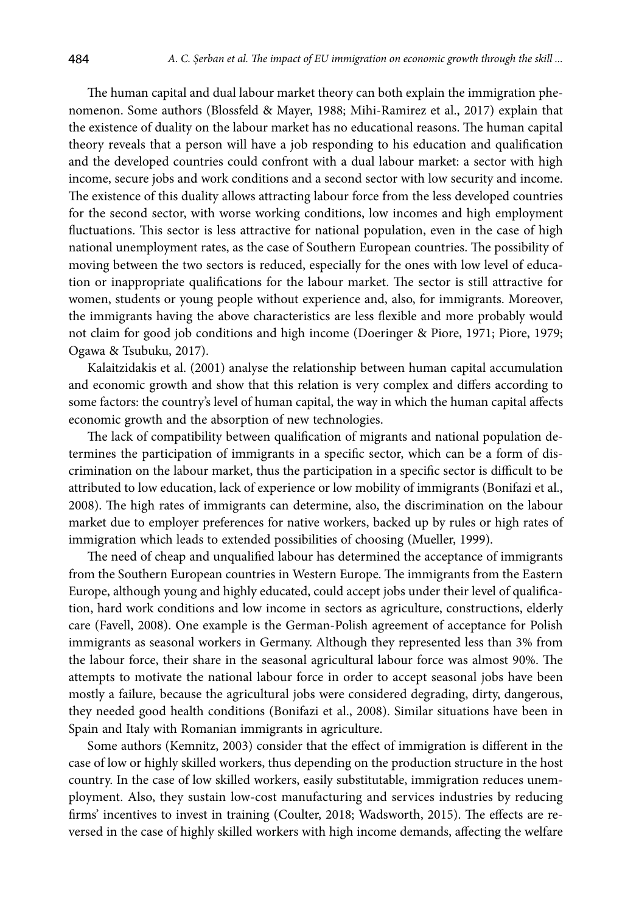The human capital and dual labour market theory can both explain the immigration phenomenon. Some authors (Blossfeld & Mayer, 1988; Mihi-Ramirez et al., 2017) explain that the existence of duality on the labour market has no educational reasons. The human capital theory reveals that a person will have a job responding to his education and qualification and the developed countries could confront with a dual labour market: a sector with high income, secure jobs and work conditions and a second sector with low security and income. The existence of this duality allows attracting labour force from the less developed countries for the second sector, with worse working conditions, low incomes and high employment fluctuations. This sector is less attractive for national population, even in the case of high national unemployment rates, as the case of Southern European countries. The possibility of moving between the two sectors is reduced, especially for the ones with low level of education or inappropriate qualifications for the labour market. The sector is still attractive for women, students or young people without experience and, also, for immigrants. Moreover, the immigrants having the above characteristics are less flexible and more probably would not claim for good job conditions and high income (Doeringer & Piore, 1971; Piore, 1979; Ogawa & Tsubuku, 2017).

Kalaitzidakis et al. (2001) analyse the relationship between human capital accumulation and economic growth and show that this relation is very complex and differs according to some factors: the country's level of human capital, the way in which the human capital affects economic growth and the absorption of new technologies.

The lack of compatibility between qualification of migrants and national population determines the participation of immigrants in a specific sector, which can be a form of discrimination on the labour market, thus the participation in a specific sector is difficult to be attributed to low education, lack of experience or low mobility of immigrants (Bonifazi et al., 2008). The high rates of immigrants can determine, also, the discrimination on the labour market due to employer preferences for native workers, backed up by rules or high rates of immigration which leads to extended possibilities of choosing (Mueller, 1999).

The need of cheap and unqualified labour has determined the acceptance of immigrants from the Southern European countries in Western Europe. The immigrants from the Eastern Europe, although young and highly educated, could accept jobs under their level of qualification, hard work conditions and low income in sectors as agriculture, constructions, elderly care (Favell, 2008). One example is the German-Polish agreement of acceptance for Polish immigrants as seasonal workers in Germany. Although they represented less than 3% from the labour force, their share in the seasonal agricultural labour force was almost 90%. The attempts to motivate the national labour force in order to accept seasonal jobs have been mostly a failure, because the agricultural jobs were considered degrading, dirty, dangerous, they needed good health conditions (Bonifazi et al., 2008). Similar situations have been in Spain and Italy with Romanian immigrants in agriculture.

Some authors (Kemnitz, 2003) consider that the effect of immigration is different in the case of low or highly skilled workers, thus depending on the production structure in the host country. In the case of low skilled workers, easily substitutable, immigration reduces unemployment. Also, they sustain low-cost manufacturing and services industries by reducing firms' incentives to invest in training (Coulter, 2018; Wadsworth, 2015). The effects are reversed in the case of highly skilled workers with high income demands, affecting the welfare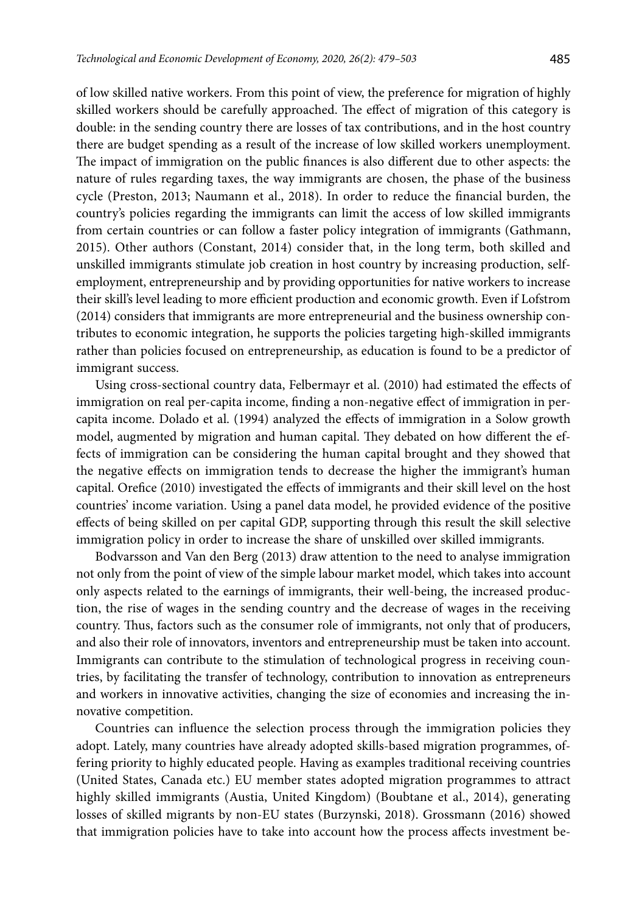of low skilled native workers. From this point of view, the preference for migration of highly skilled workers should be carefully approached. The effect of migration of this category is double: in the sending country there are losses of tax contributions, and in the host country there are budget spending as a result of the increase of low skilled workers unemployment. The impact of immigration on the public finances is also different due to other aspects: the nature of rules regarding taxes, the way immigrants are chosen, the phase of the business cycle (Preston, 2013; Naumann et al., 2018). In order to reduce the financial burden, the country's policies regarding the immigrants can limit the access of low skilled immigrants from certain countries or can follow a faster policy integration of immigrants (Gathmann, 2015). Other authors (Constant, 2014) consider that, in the long term, both skilled and unskilled immigrants stimulate job creation in host country by increasing production, selfemployment, entrepreneurship and by providing opportunities for native workers to increase their skill's level leading to more efficient production and economic growth. Even if Lofstrom (2014) considers that immigrants are more entrepreneurial and the business ownership contributes to economic integration, he supports the policies targeting high-skilled immigrants rather than policies focused on entrepreneurship, as education is found to be a predictor of immigrant success.

Using cross-sectional country data, Felbermayr et al. (2010) had estimated the effects of immigration on real per-capita income, finding a non-negative effect of immigration in percapita income. Dolado et al. (1994) analyzed the effects of immigration in a Solow growth model, augmented by migration and human capital. They debated on how different the effects of immigration can be considering the human capital brought and they showed that the negative effects on immigration tends to decrease the higher the immigrant's human capital. Orefice (2010) investigated the effects of immigrants and their skill level on the host countries' income variation. Using a panel data model, he provided evidence of the positive effects of being skilled on per capital GDP, supporting through this result the skill selective immigration policy in order to increase the share of unskilled over skilled immigrants.

Bodvarsson and Van den Berg (2013) draw attention to the need to analyse immigration not only from the point of view of the simple labour market model, which takes into account only aspects related to the earnings of immigrants, their well-being, the increased production, the rise of wages in the sending country and the decrease of wages in the receiving country. Thus, factors such as the consumer role of immigrants, not only that of producers, and also their role of innovators, inventors and entrepreneurship must be taken into account. Immigrants can contribute to the stimulation of technological progress in receiving countries, by facilitating the transfer of technology, contribution to innovation as entrepreneurs and workers in innovative activities, changing the size of economies and increasing the innovative competition.

Countries can influence the selection process through the immigration policies they adopt. Lately, many countries have already adopted skills-based migration programmes, offering priority to highly educated people. Having as examples traditional receiving countries (United States, Canada etc.) EU member states adopted migration programmes to attract highly skilled immigrants (Austia, United Kingdom) (Boubtane et al., 2014), generating losses of skilled migrants by non-EU states (Burzynski, 2018). Grossmann (2016) showed that immigration policies have to take into account how the process affects investment be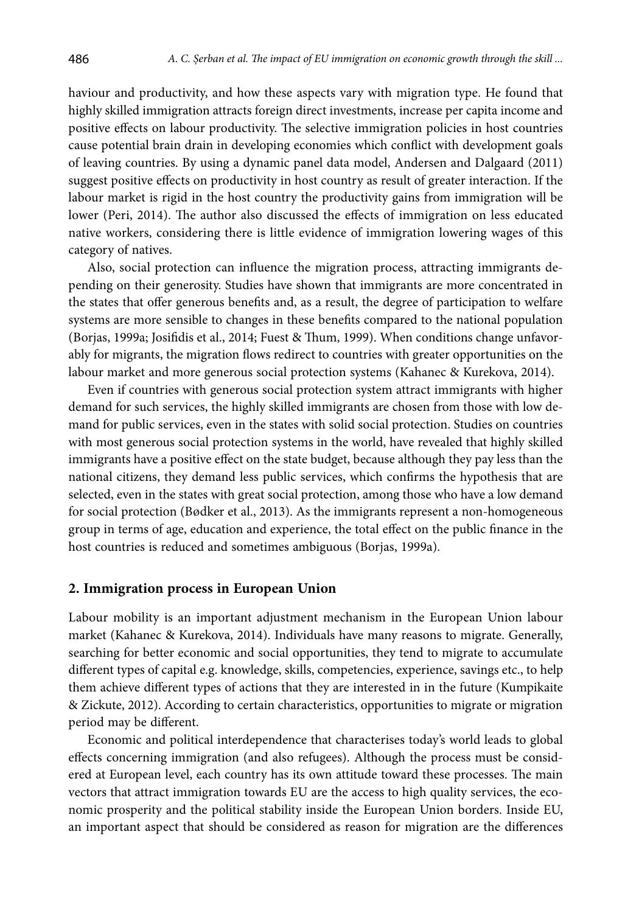haviour and productivity, and how these aspects vary with migration type. He found that highly skilled immigration attracts foreign direct investments, increase per capita income and positive effects on labour productivity. The selective immigration policies in host countries cause potential brain drain in developing economies which conflict with development goals of leaving countries. By using a dynamic panel data model, Andersen and Dalgaard (2011) suggest positive effects on productivity in host country as result of greater interaction. If the labour market is rigid in the host country the productivity gains from immigration will be lower (Peri, 2014). The author also discussed the effects of immigration on less educated native workers, considering there is little evidence of immigration lowering wages of this category of natives.

Also, social protection can influence the migration process, attracting immigrants depending on their generosity. Studies have shown that immigrants are more concentrated in the states that offer generous benefits and, as a result, the degree of participation to welfare systems are more sensible to changes in these benefits compared to the national population (Borjas, 1999a; Josifidis et al., 2014; Fuest & Thum, 1999). When conditions change unfavorably for migrants, the migration flows redirect to countries with greater opportunities on the labour market and more generous social protection systems (Kahanec & Kurekova, 2014).

Even if countries with generous social protection system attract immigrants with higher demand for such services, the highly skilled immigrants are chosen from those with low demand for public services, even in the states with solid social protection. Studies on countries with most generous social protection systems in the world, have revealed that highly skilled immigrants have a positive effect on the state budget, because although they pay less than the national citizens, they demand less public services, which confirms the hypothesis that are selected, even in the states with great social protection, among those who have a low demand for social protection (Bødker et al., 2013). As the immigrants represent a non-homogeneous group in terms of age, education and experience, the total effect on the public finance in the host countries is reduced and sometimes ambiguous (Borjas, 1999a).

#### **2. Immigration process in European Union**

Labour mobility is an important adjustment mechanism in the European Union labour market (Kahanec & Kurekova, 2014). Individuals have many reasons to migrate. Generally, searching for better economic and social opportunities, they tend to migrate to accumulate different types of capital e.g. knowledge, skills, competencies, experience, savings etc., to help them achieve different types of actions that they are interested in in the future (Kumpikaite & Zickute, 2012). According to certain characteristics, opportunities to migrate or migration period may be different.

Economic and political interdependence that characterises today's world leads to global effects concerning immigration (and also refugees). Although the process must be considered at European level, each country has its own attitude toward these processes. The main vectors that attract immigration towards EU are the access to high quality services, the economic prosperity and the political stability inside the European Union borders. Inside EU, an important aspect that should be considered as reason for migration are the differences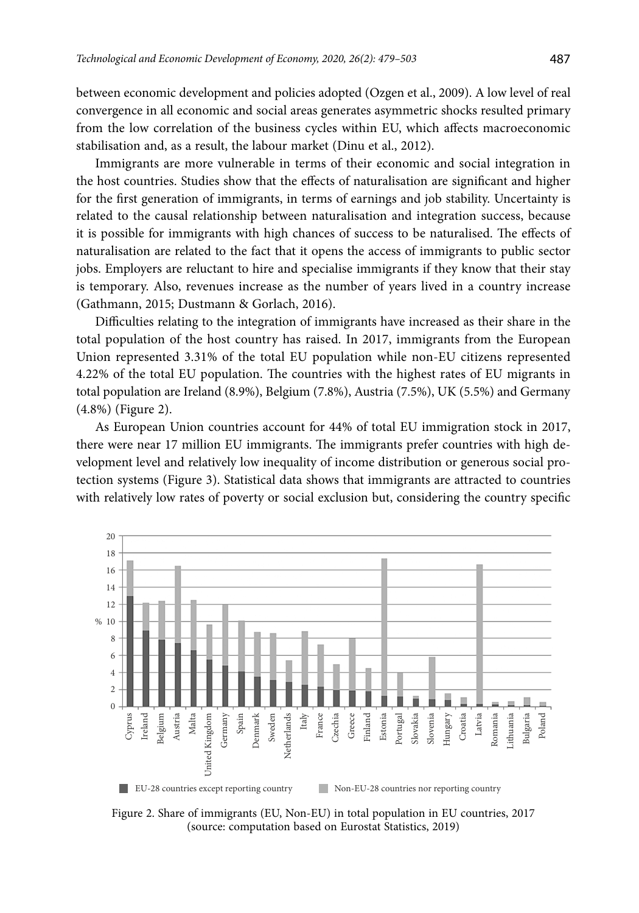between economic development and policies adopted (Ozgen et al., 2009). A low level of real convergence in all economic and social areas generates asymmetric shocks resulted primary from the low correlation of the business cycles within EU, which affects macroeconomic stabilisation and, as a result, the labour market (Dinu et al., 2012).

Immigrants are more vulnerable in terms of their economic and social integration in the host countries. Studies show that the effects of naturalisation are significant and higher for the first generation of immigrants, in terms of earnings and job stability. Uncertainty is related to the causal relationship between naturalisation and integration success, because it is possible for immigrants with high chances of success to be naturalised. The effects of naturalisation are related to the fact that it opens the access of immigrants to public sector jobs. Employers are reluctant to hire and specialise immigrants if they know that their stay is temporary. Also, revenues increase as the number of years lived in a country increase (Gathmann, 2015; Dustmann & Gorlach, 2016).

Difficulties relating to the integration of immigrants have increased as their share in the total population of the host country has raised. In 2017, immigrants from the European Union represented 3.31% of the total EU population while non-EU citizens represented 4.22% of the total EU population. The countries with the highest rates of EU migrants in total population are Ireland (8.9%), Belgium (7.8%), Austria (7.5%), UK (5.5%) and Germany (4.8%) (Figure 2).

As European Union countries account for 44% of total EU immigration stock in 2017, there were near 17 million EU immigrants. The immigrants prefer countries with high development level and relatively low inequality of income distribution or generous social protection systems (Figure 3). Statistical data shows that immigrants are attracted to countries with relatively low rates of poverty or social exclusion but, considering the country specific



Figure 2. Share of immigrants (EU, Non-EU) in total population in EU countries, 2017 (source: computation based on Eurostat Statistics, 2019)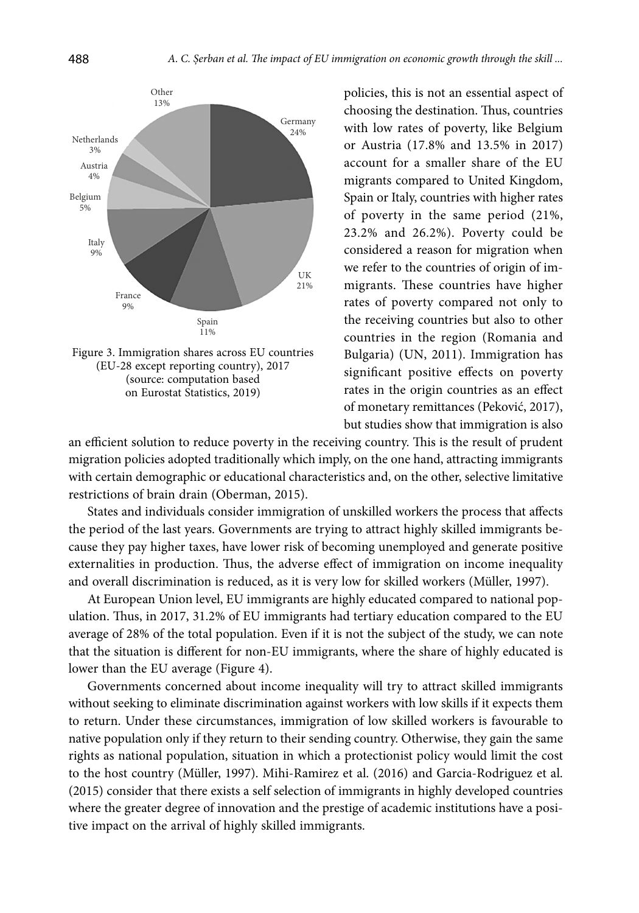

Figure 3. Immigration shares across EU countries (EU-28 except reporting country), 2017 (source: computation based on Eurostat Statistics, 2019)

policies, this is not an essential aspect of choosing the destination. Thus, countries with low rates of poverty, like Belgium or Austria (17.8% and 13.5% in 2017) account for a smaller share of the EU migrants compared to United Kingdom, Spain or Italy, countries with higher rates of poverty in the same period (21%, 23.2% and 26.2%). Poverty could be considered a reason for migration when we refer to the countries of origin of immigrants. These countries have higher rates of poverty compared not only to the receiving countries but also to other countries in the region (Romania and Bulgaria) (UN, 2011). Immigration has significant positive effects on poverty rates in the origin countries as an effect of monetary remittances (Peković, 2017), but studies show that immigration is also

an efficient solution to reduce poverty in the receiving country. This is the result of prudent migration policies adopted traditionally which imply, on the one hand, attracting immigrants with certain demographic or educational characteristics and, on the other, selective limitative restrictions of brain drain (Oberman, 2015).

States and individuals consider immigration of unskilled workers the process that affects the period of the last years. Governments are trying to attract highly skilled immigrants because they pay higher taxes, have lower risk of becoming unemployed and generate positive externalities in production. Thus, the adverse effect of immigration on income inequality and overall discrimination is reduced, as it is very low for skilled workers (Müller, 1997).

At European Union level, EU immigrants are highly educated compared to national population. Thus, in 2017, 31.2% of EU immigrants had tertiary education compared to the EU average of 28% of the total population. Even if it is not the subject of the study, we can note that the situation is different for non-EU immigrants, where the share of highly educated is lower than the EU average (Figure 4).

Governments concerned about income inequality will try to attract skilled immigrants without seeking to eliminate discrimination against workers with low skills if it expects them to return. Under these circumstances, immigration of low skilled workers is favourable to native population only if they return to their sending country. Otherwise, they gain the same rights as national population, situation in which a protectionist policy would limit the cost to the host country [\(Müller](https://www.cambridge.org/core/search?filters%5BauthorTerms%5D=Tobias M%C3%BCller&eventCode=SE-AU), 1997). Mihi-Ramirez et al. (2016) and Garcia-Rodriguez et al. (2015) consider that there exists a self selection of immigrants in highly developed countries where the greater degree of innovation and the prestige of academic institutions have a positive impact on the arrival of highly skilled immigrants.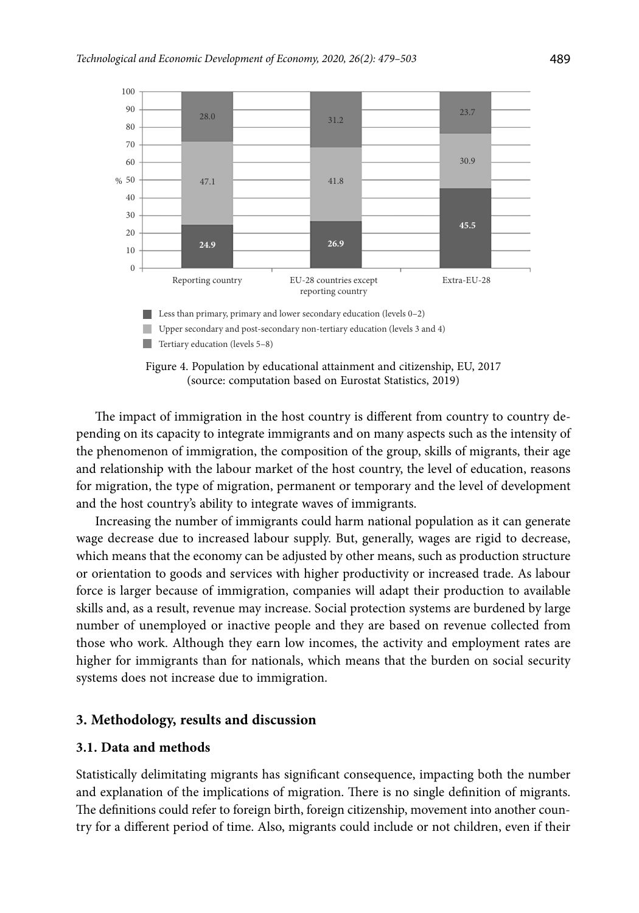

Figure 4. Population by educational attainment and citizenship, EU, 2017 (source: computation based on Eurostat Statistics, 2019)

The impact of immigration in the host country is different from country to country depending on its capacity to integrate immigrants and on many aspects such as the intensity of the phenomenon of immigration, the composition of the group, skills of migrants, their age and relationship with the labour market of the host country, the level of education, reasons for migration, the type of migration, permanent or temporary and the level of development and the host country's ability to integrate waves of immigrants.

Increasing the number of immigrants could harm national population as it can generate wage decrease due to increased labour supply. But, generally, wages are rigid to decrease, which means that the economy can be adjusted by other means, such as production structure or orientation to goods and services with higher productivity or increased trade. As labour force is larger because of immigration, companies will adapt their production to available skills and, as a result, revenue may increase. Social protection systems are burdened by large number of unemployed or inactive people and they are based on revenue collected from those who work. Although they earn low incomes, the activity and employment rates are higher for immigrants than for nationals, which means that the burden on social security systems does not increase due to immigration.

### **3. Methodology, results and discussion**

#### **3.1. Data and methods**

Statistically delimitating migrants has significant consequence, impacting both the number and explanation of the implications of migration. There is no single definition of migrants. The definitions could refer to foreign birth, foreign citizenship, movement into another country for a different period of time. Also, migrants could include or not children, even if their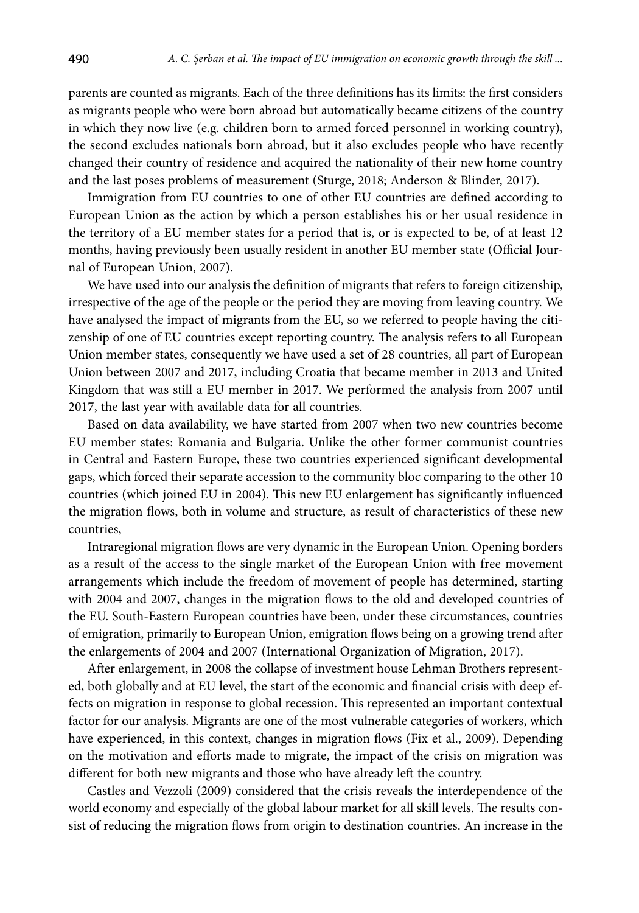parents are counted as migrants. Each of the three definitions has its limits: the first considers as migrants people who were born abroad but automatically became citizens of the country in which they now live (e.g. children born to armed forced personnel in working country), the second excludes nationals born abroad, but it also excludes people who have recently changed their country of residence and acquired the nationality of their new home country and the last poses problems of measurement (Sturge, 2018; Anderson & Blinder, 2017).

Immigration from EU countries to one of other EU countries are defined according to European Union as the action by which a person establishes his or her usual residence in the territory of a EU member states for a period that is, or is expected to be, of at least 12 months, having previously been usually resident in another EU member state (Official Journal of European Union, 2007).

We have used into our analysis the definition of migrants that refers to foreign citizenship, irrespective of the age of the people or the period they are moving from leaving country. We have analysed the impact of migrants from the EU, so we referred to people having the citizenship of one of EU countries except reporting country. The analysis refers to all European Union member states, consequently we have used a set of 28 countries, all part of European Union between 2007 and 2017, including Croatia that became member in 2013 and United Kingdom that was still a EU member in 2017. We performed the analysis from 2007 until 2017, the last year with available data for all countries.

Based on data availability, we have started from 2007 when two new countries become EU member states: Romania and Bulgaria. Unlike the other former communist countries in Central and Eastern Europe, these two countries experienced significant developmental gaps, which forced their separate accession to the community bloc comparing to the other 10 countries (which joined EU in 2004). This new EU enlargement has significantly influenced the migration flows, both in volume and structure, as result of characteristics of these new countries,

Intraregional migration flows are very dynamic in the European Union. Opening borders as a result of the access to the single market of the European Union with free movement arrangements which include the freedom of movement of people has determined, starting with 2004 and 2007, changes in the migration flows to the old and developed countries of the EU. South-Eastern European countries have been, under these circumstances, countries of emigration, primarily to European Union, emigration flows being on a growing trend after the enlargements of 2004 and 2007 (International Organization of Migration, 2017).

After enlargement, in 2008 the collapse of investment house Lehman Brothers represented, both globally and at EU level, the start of the economic and financial crisis with deep effects on migration in response to global recession. This represented an important contextual factor for our analysis. Migrants are one of the most vulnerable categories of workers, which have experienced, in this context, changes in migration flows (Fix et al., 2009). Depending on the motivation and efforts made to migrate, the impact of the crisis on migration was different for both new migrants and those who have already left the country.

Castles and Vezzoli (2009) considered that the crisis reveals the interdependence of the world economy and especially of the global labour market for all skill levels. The results consist of reducing the migration flows from origin to destination countries. An increase in the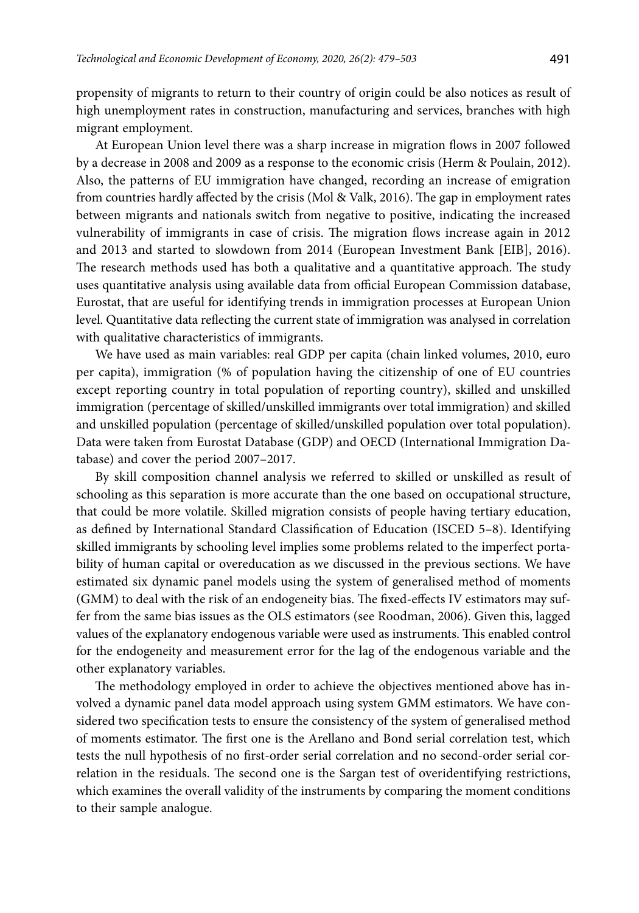propensity of migrants to return to their country of origin could be also notices as result of high unemployment rates in construction, manufacturing and services, branches with high migrant employment.

At European Union level there was a sharp increase in migration flows in 2007 followed by a decrease in 2008 and 2009 as a response to the economic crisis (Herm & Poulain, 2012). Also, the patterns of EU immigration have changed, recording an increase of emigration from countries hardly affected by the crisis (Mol & Valk, 2016). The gap in employment rates between migrants and nationals switch from negative to positive, indicating the increased vulnerability of immigrants in case of crisis. The migration flows increase again in 2012 and 2013 and started to slowdown from 2014 (European Investment Bank [EIB], 2016). The research methods used has both a qualitative and a quantitative approach. The study uses quantitative analysis using available data from official European Commission database, Eurostat, that are useful for identifying trends in immigration processes at European Union level. Quantitative data reflecting the current state of immigration was analysed in correlation with qualitative characteristics of immigrants.

We have used as main variables: real GDP per capita (chain linked volumes, 2010, euro per capita), immigration (% of population having the citizenship of one of EU countries except reporting country in total population of reporting country), skilled and unskilled immigration (percentage of skilled/unskilled immigrants over total immigration) and skilled and unskilled population (percentage of skilled/unskilled population over total population). Data were taken from Eurostat Database (GDP) and OECD (International Immigration Database) and cover the period 2007–2017.

By skill composition channel analysis we referred to skilled or unskilled as result of schooling as this separation is more accurate than the one based on occupational structure, that could be more volatile. Skilled migration consists of people having tertiary education, as defined by International Standard Classification of Education (ISCED 5–8). Identifying skilled immigrants by schooling level implies some problems related to the imperfect portability of human capital or overeducation as we discussed in the previous sections. We have estimated six dynamic panel models using the system of generalised method of moments (GMM) to deal with the risk of an endogeneity bias. The fixed-effects IV estimators may suffer from the same bias issues as the OLS estimators (see Roodman, 2006). Given this, lagged values of the explanatory endogenous variable were used as instruments. This enabled control for the endogeneity and measurement error for the lag of the endogenous variable and the other explanatory variables.

The methodology employed in order to achieve the objectives mentioned above has involved a dynamic panel data model approach using system GMM estimators. We have considered two specification tests to ensure the consistency of the system of generalised method of moments estimator. The first one is the Arellano and Bond serial correlation test, which tests the null hypothesis of no first-order serial correlation and no second-order serial correlation in the residuals. The second one is the Sargan test of overidentifying restrictions, which examines the overall validity of the instruments by comparing the moment conditions to their sample analogue.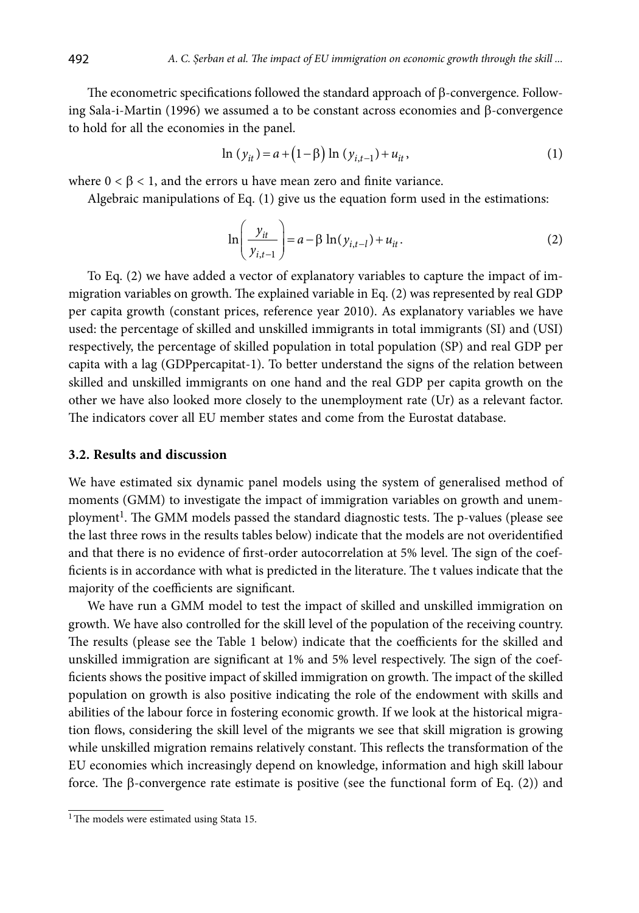The econometric specifications followed the standard approach of β-convergence. Following Sala-i-Martin (1996) we assumed a to be constant across economies and β-convergence to hold for all the economies in the panel.

$$
\ln(y_{it}) = a + (1 - \beta) \ln(y_{i, t-1}) + u_{it},\tag{1}
$$

where  $0 < \beta < 1$ , and the errors u have mean zero and finite variance.

Algebraic manipulations of Eq. (1) give us the equation form used in the estimations:

$$
\ln\left(\frac{y_{it}}{y_{i,t-1}}\right) = a - \beta \ln(y_{i,t-1}) + u_{it}.
$$
 (2)

To Eq. (2) we have added a vector of explanatory variables to capture the impact of immigration variables on growth. The explained variable in Eq. (2) was represented by real GDP per capita growth (constant prices, reference year 2010). As explanatory variables we have used: the percentage of skilled and unskilled immigrants in total immigrants (SI) and (USI) respectively, the percentage of skilled population in total population (SP) and real GDP per capita with a lag (GDPpercapitat-1). To better understand the signs of the relation between skilled and unskilled immigrants on one hand and the real GDP per capita growth on the other we have also looked more closely to the unemployment rate (Ur) as a relevant factor. The indicators cover all EU member states and come from the Eurostat database.

#### **3.2. Results and discussion**

We have estimated six dynamic panel models using the system of generalised method of moments (GMM) to investigate the impact of immigration variables on growth and unemployment<sup>1</sup>. The GMM models passed the standard diagnostic tests. The p-values (please see the last three rows in the results tables below) indicate that the models are not overidentified and that there is no evidence of first-order autocorrelation at 5% level. The sign of the coefficients is in accordance with what is predicted in the literature. The t values indicate that the majority of the coefficients are significant.

We have run a GMM model to test the impact of skilled and unskilled immigration on growth. We have also controlled for the skill level of the population of the receiving country. The results (please see the Table 1 below) indicate that the coefficients for the skilled and unskilled immigration are significant at 1% and 5% level respectively. The sign of the coefficients shows the positive impact of skilled immigration on growth. The impact of the skilled population on growth is also positive indicating the role of the endowment with skills and abilities of the labour force in fostering economic growth. If we look at the historical migration flows, considering the skill level of the migrants we see that skill migration is growing while unskilled migration remains relatively constant. This reflects the transformation of the EU economies which increasingly depend on knowledge, information and high skill labour force. The β-convergence rate estimate is positive (see the functional form of Eq. (2)) and

<sup>&</sup>lt;sup>1</sup>The models were estimated using Stata 15.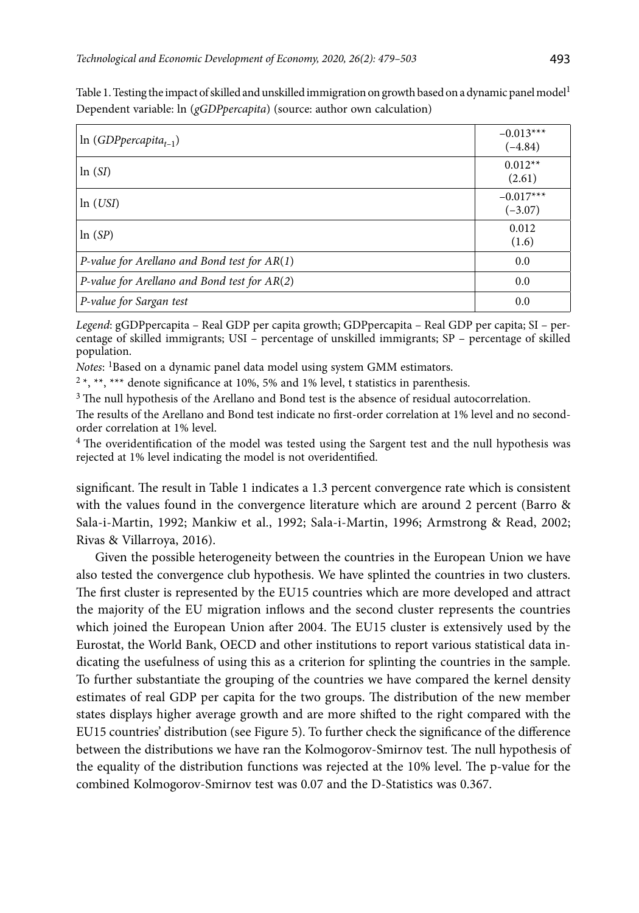| $\ln (GDP per capita_{t-1})$                   | $-0.013***$<br>$(-4.84)$ |
|------------------------------------------------|--------------------------|
| ln(SI)                                         | $0.012**$<br>(2.61)      |
| ln (USI)                                       | $-0.017***$<br>$(-3.07)$ |
| ln(SP)                                         | 0.012<br>(1.6)           |
| P-value for Arellano and Bond test for $AR(1)$ | 0.0                      |
| P-value for Arellano and Bond test for $AR(2)$ | 0.0                      |
| P-value for Sargan test                        | 0.0                      |

Table 1. Testing the impact of skilled and unskilled immigration on growth based on a dynamic panel model<sup>1</sup> Dependent variable: ln (*gGDPpercapita*) (source: author own calculation)

*Legend*: gGDPpercapita – Real GDP per capita growth; GDPpercapita – Real GDP per capita; SI – percentage of skilled immigrants; USI – percentage of unskilled immigrants; SP – percentage of skilled population.

*Notes*: <sup>1</sup>Based on a dynamic panel data model using system GMM estimators.

 $2*, **$ , \*\*\* denote significance at 10%, 5% and 1% level, t statistics in parenthesis.

<sup>3</sup> The null hypothesis of the Arellano and Bond test is the absence of residual autocorrelation.

The results of the Arellano and Bond test indicate no first-order correlation at 1% level and no secondorder correlation at 1% level.

<sup>4</sup> The overidentification of the model was tested using the Sargent test and the null hypothesis was rejected at 1% level indicating the model is not overidentified.

significant. The result in Table 1 indicates a 1.3 percent convergence rate which is consistent with the values found in the convergence literature which are around 2 percent (Barro & Sala-i-Martin, 1992; Mankiw et al., 1992; Sala-i-Martin, 1996; Armstrong & Read, 2002; Rivas & Villarroya, 2016).

Given the possible heterogeneity between the countries in the European Union we have also tested the convergence club hypothesis. We have splinted the countries in two clusters. The first cluster is represented by the EU15 countries which are more developed and attract the majority of the EU migration inflows and the second cluster represents the countries which joined the European Union after 2004. The EU15 cluster is extensively used by the Eurostat, the World Bank, OECD and other institutions to report various statistical data indicating the usefulness of using this as a criterion for splinting the countries in the sample. To further substantiate the grouping of the countries we have compared the kernel density estimates of real GDP per capita for the two groups. The distribution of the new member states displays higher average growth and are more shifted to the right compared with the EU15 countries' distribution (see Figure 5). To further check the significance of the difference between the distributions we have ran the Kolmogorov-Smirnov test. The null hypothesis of the equality of the distribution functions was rejected at the 10% level. The p-value for the combined Kolmogorov-Smirnov test was 0.07 and the D-Statistics was 0.367.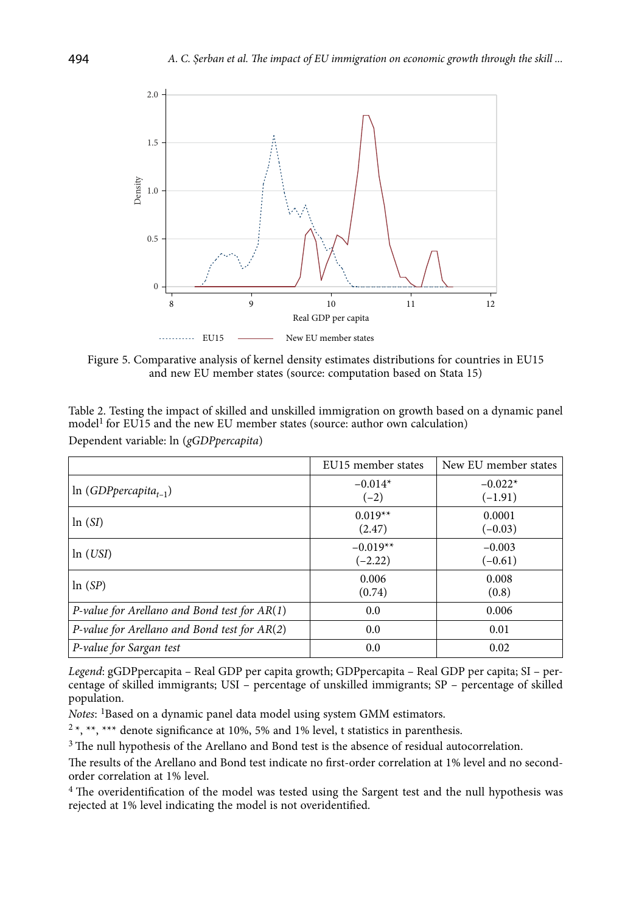

Figure 5. Comparative analysis of kernel density estimates distributions for countries in EU15 and new EU member states (source: computation based on Stata 15)

| Table 2. Testing the impact of skilled and unskilled immigration on growth based on a dynamic panel |
|-----------------------------------------------------------------------------------------------------|
| model <sup>1</sup> for EU15 and the new EU member states (source: author own calculation)           |
| Dependent variable: ln (gGDPpercapita)                                                              |

|                                                | EU15 member states      | New EU member states   |
|------------------------------------------------|-------------------------|------------------------|
| $ln (GDP per capital_{t-1})$                   | $-0.014*$<br>$(-2)$     | $-0.022*$<br>$(-1.91)$ |
| ln(SI)                                         | $0.019**$<br>(2.47)     | 0.0001<br>$(-0.03)$    |
| ln (USI)                                       | $-0.019**$<br>$(-2.22)$ | $-0.003$<br>$(-0.61)$  |
| ln(SP)                                         | 0.006<br>(0.74)         | 0.008<br>(0.8)         |
| P-value for Arellano and Bond test for $AR(1)$ | 0.0                     | 0.006                  |
| P-value for Arellano and Bond test for $AR(2)$ | 0.0                     | 0.01                   |
| P-value for Sargan test                        | 0.0                     | 0.02                   |

*Legend*: gGDPpercapita – Real GDP per capita growth; GDPpercapita – Real GDP per capita; SI – percentage of skilled immigrants; USI – percentage of unskilled immigrants; SP – percentage of skilled population.

*Notes*: <sup>1</sup>Based on a dynamic panel data model using system GMM estimators.

 $2*,$  \*\*, \*\*\* denote significance at 10%, 5% and 1% level, t statistics in parenthesis.

<sup>3</sup> The null hypothesis of the Arellano and Bond test is the absence of residual autocorrelation.

The results of the Arellano and Bond test indicate no first-order correlation at 1% level and no secondorder correlation at 1% level.

<sup>4</sup> The overidentification of the model was tested using the Sargent test and the null hypothesis was rejected at 1% level indicating the model is not overidentified.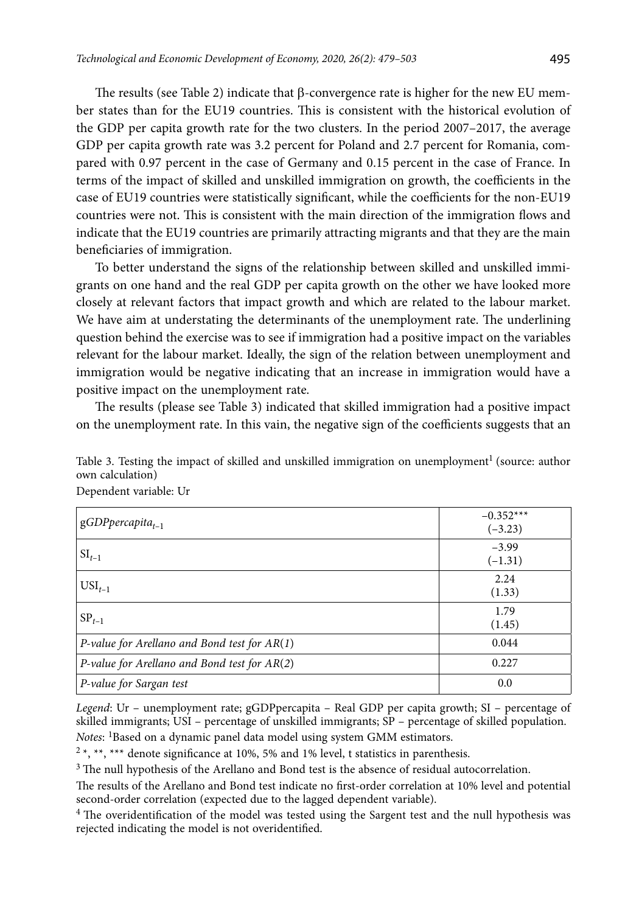The results (see Table 2) indicate that β-convergence rate is higher for the new EU member states than for the EU19 countries. This is consistent with the historical evolution of the GDP per capita growth rate for the two clusters. In the period 2007–2017, the average GDP per capita growth rate was 3.2 percent for Poland and 2.7 percent for Romania, compared with 0.97 percent in the case of Germany and 0.15 percent in the case of France. In terms of the impact of skilled and unskilled immigration on growth, the coefficients in the case of EU19 countries were statistically significant, while the coefficients for the non-EU19 countries were not. This is consistent with the main direction of the immigration flows and indicate that the EU19 countries are primarily attracting migrants and that they are the main beneficiaries of immigration.

To better understand the signs of the relationship between skilled and unskilled immigrants on one hand and the real GDP per capita growth on the other we have looked more closely at relevant factors that impact growth and which are related to the labour market. We have aim at understating the determinants of the unemployment rate. The underlining question behind the exercise was to see if immigration had a positive impact on the variables relevant for the labour market. Ideally, the sign of the relation between unemployment and immigration would be negative indicating that an increase in immigration would have a positive impact on the unemployment rate.

The results (please see Table 3) indicated that skilled immigration had a positive impact on the unemployment rate. In this vain, the negative sign of the coefficients suggests that an

| Table 3. Testing the impact of skilled and unskilled immigration on unemployment <sup>1</sup> (source: author |  |
|---------------------------------------------------------------------------------------------------------------|--|
| own calculation)                                                                                              |  |
| Dependent variable: Ur                                                                                        |  |
|                                                                                                               |  |

| $gGDP$ percapita <sub>t-1</sub>                | $-0.352***$<br>$(-3.23)$ |
|------------------------------------------------|--------------------------|
| $SI_{t-1}$                                     | $-3.99$<br>$(-1.31)$     |
| $USI_{t-1}$                                    | 2.24<br>(1.33)           |
| $SP_{t-1}$                                     | 1.79<br>(1.45)           |
| P-value for Arellano and Bond test for $AR(1)$ | 0.044                    |
| P-value for Arellano and Bond test for $AR(2)$ | 0.227                    |
| P-value for Sargan test                        | 0.0                      |

*Legend*: Ur – unemployment rate; gGDPpercapita – Real GDP per capita growth; SI – percentage of skilled immigrants; USI – percentage of unskilled immigrants; SP – percentage of skilled population. *Notes*: <sup>1</sup>Based on a dynamic panel data model using system GMM estimators.

 $2*, **$ , \*\*\* denote significance at 10%, 5% and 1% level, t statistics in parenthesis.

<sup>3</sup> The null hypothesis of the Arellano and Bond test is the absence of residual autocorrelation.

The results of the Arellano and Bond test indicate no first-order correlation at 10% level and potential second-order correlation (expected due to the lagged dependent variable).

<sup>4</sup> The overidentification of the model was tested using the Sargent test and the null hypothesis was rejected indicating the model is not overidentified.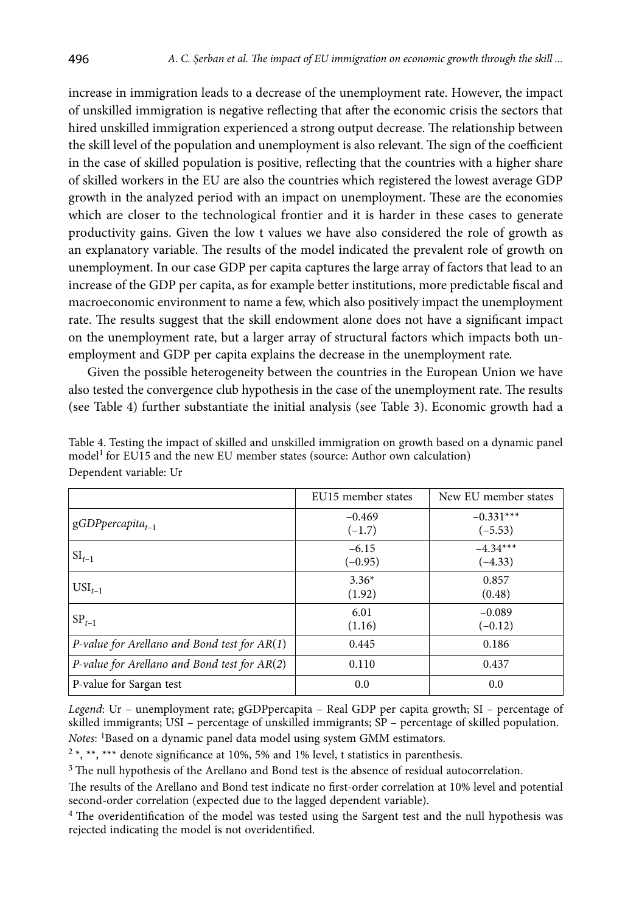increase in immigration leads to a decrease of the unemployment rate. However, the impact of unskilled immigration is negative reflecting that after the economic crisis the sectors that hired unskilled immigration experienced a strong output decrease. The relationship between the skill level of the population and unemployment is also relevant. The sign of the coefficient in the case of skilled population is positive, reflecting that the countries with a higher share of skilled workers in the EU are also the countries which registered the lowest average GDP growth in the analyzed period with an impact on unemployment. These are the economies which are closer to the technological frontier and it is harder in these cases to generate productivity gains. Given the low t values we have also considered the role of growth as an explanatory variable. The results of the model indicated the prevalent role of growth on unemployment. In our case GDP per capita captures the large array of factors that lead to an increase of the GDP per capita, as for example better institutions, more predictable fiscal and macroeconomic environment to name a few, which also positively impact the unemployment rate. The results suggest that the skill endowment alone does not have a significant impact on the unemployment rate, but a larger array of structural factors which impacts both unemployment and GDP per capita explains the decrease in the unemployment rate.

Given the possible heterogeneity between the countries in the European Union we have also tested the convergence club hypothesis in the case of the unemployment rate. The results (see Table 4) further substantiate the initial analysis (see Table 3). Economic growth had a

|                                                | EU15 member states   | New EU member states     |
|------------------------------------------------|----------------------|--------------------------|
| $gGDP$ percapita <sub>t-1</sub>                | $-0.469$<br>$(-1.7)$ | $-0.331***$<br>$(-5.53)$ |
| $SI_{t-1}$                                     | $-6.15$<br>$(-0.95)$ | $-4.34***$<br>$(-4.33)$  |
| $USI_{t-1}$                                    | $3.36*$<br>(1.92)    | 0.857<br>(0.48)          |
| $SP_{t-1}$                                     | 6.01<br>(1.16)       | $-0.089$<br>$(-0.12)$    |
| P-value for Arellano and Bond test for $AR(1)$ | 0.445                | 0.186                    |
| P-value for Arellano and Bond test for $AR(2)$ | 0.110                | 0.437                    |
| P-value for Sargan test                        | 0.0                  | 0.0                      |

Table 4. Testing the impact of skilled and unskilled immigration on growth based on a dynamic panel model<sup>1</sup> for EU15 and the new EU member states (source: Author own calculation) Dependent variable: Ur

*Legend*: Ur – unemployment rate; gGDPpercapita – Real GDP per capita growth; SI – percentage of skilled immigrants; USI – percentage of unskilled immigrants; SP – percentage of skilled population. *Notes*: <sup>1</sup>Based on a dynamic panel data model using system GMM estimators.

 $2*, **$ , \*\*\* denote significance at 10%, 5% and 1% level, t statistics in parenthesis.

 $3$  The null hypothesis of the Arellano and Bond test is the absence of residual autocorrelation.

The results of the Arellano and Bond test indicate no first-order correlation at 10% level and potential second-order correlation (expected due to the lagged dependent variable).

<sup>4</sup> The overidentification of the model was tested using the Sargent test and the null hypothesis was rejected indicating the model is not overidentified.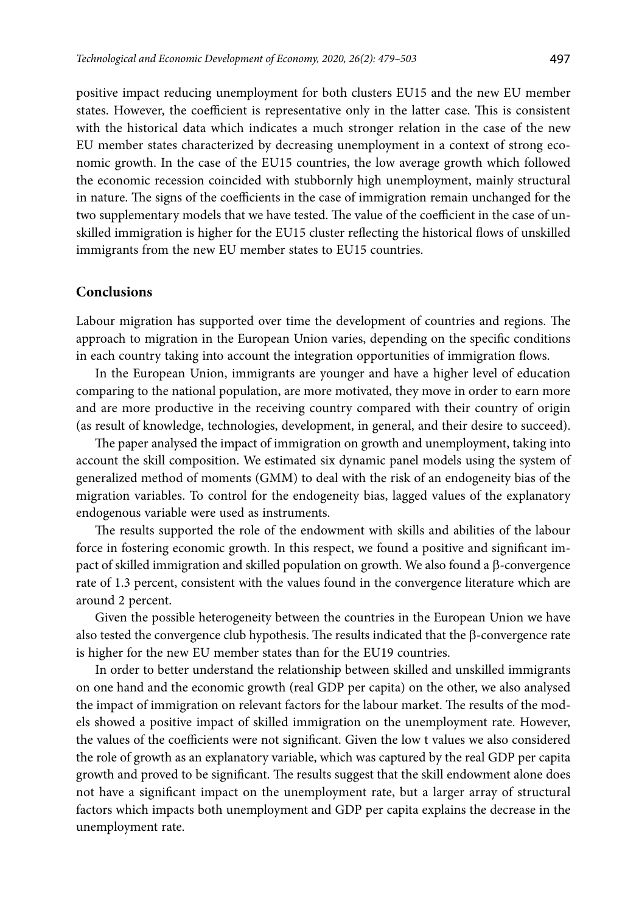positive impact reducing unemployment for both clusters EU15 and the new EU member states. However, the coefficient is representative only in the latter case. This is consistent with the historical data which indicates a much stronger relation in the case of the new EU member states characterized by decreasing unemployment in a context of strong economic growth. In the case of the EU15 countries, the low average growth which followed the economic recession coincided with stubbornly high unemployment, mainly structural in nature. The signs of the coefficients in the case of immigration remain unchanged for the two supplementary models that we have tested. The value of the coefficient in the case of unskilled immigration is higher for the EU15 cluster reflecting the historical flows of unskilled immigrants from the new EU member states to EU15 countries.

### **Conclusions**

Labour migration has supported over time the development of countries and regions. The approach to migration in the European Union varies, depending on the specific conditions in each country taking into account the integration opportunities of immigration flows.

In the European Union, immigrants are younger and have a higher level of education comparing to the national population, are more motivated, they move in order to earn more and are more productive in the receiving country compared with their country of origin (as result of knowledge, technologies, development, in general, and their desire to succeed).

The paper analysed the impact of immigration on growth and unemployment, taking into account the skill composition. We estimated six dynamic panel models using the system of generalized method of moments (GMM) to deal with the risk of an endogeneity bias of the migration variables. To control for the endogeneity bias, lagged values of the explanatory endogenous variable were used as instruments.

The results supported the role of the endowment with skills and abilities of the labour force in fostering economic growth. In this respect, we found a positive and significant impact of skilled immigration and skilled population on growth. We also found a β-convergence rate of 1.3 percent, consistent with the values found in the convergence literature which are around 2 percent.

Given the possible heterogeneity between the countries in the European Union we have also tested the convergence club hypothesis. The results indicated that the β-convergence rate is higher for the new EU member states than for the EU19 countries.

In order to better understand the relationship between skilled and unskilled immigrants on one hand and the economic growth (real GDP per capita) on the other, we also analysed the impact of immigration on relevant factors for the labour market. The results of the models showed a positive impact of skilled immigration on the unemployment rate. However, the values of the coefficients were not significant. Given the low t values we also considered the role of growth as an explanatory variable, which was captured by the real GDP per capita growth and proved to be significant. The results suggest that the skill endowment alone does not have a significant impact on the unemployment rate, but a larger array of structural factors which impacts both unemployment and GDP per capita explains the decrease in the unemployment rate.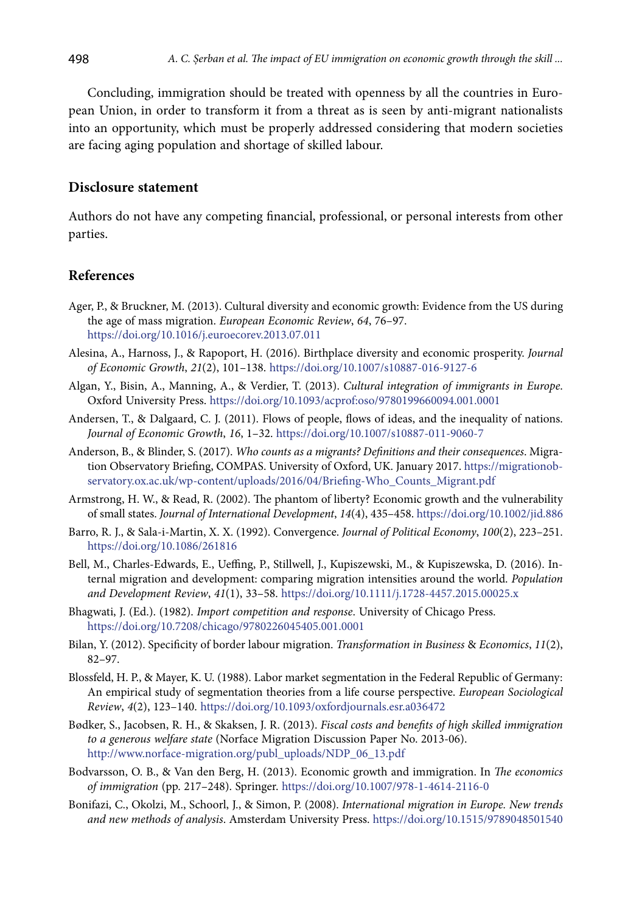Concluding, immigration should be treated with openness by all the countries in European Union, in order to transform it from a threat as is seen by anti-migrant nationalists into an opportunity, which must be properly addressed considering that modern societies are facing aging population and shortage of skilled labour.

# **Disclosure statement**

Authors do not have any competing financial, professional, or personal interests from other parties.

# **References**

- Ager, P., & Bruckner, M. (2013). Cultural diversity and economic growth: Evidence from the US during the age of mass migration. *European Economic Review*, *64*, 76–97. <https://doi.org/10.1016/j.euroecorev.2013.07.011>
- Alesina, A., Harnoss, J., & Rapoport, H. (2016). Birthplace diversity and economic prosperity. *Journal of Economic Growth*, *21*(2), 101–138. <https://doi.org/10.1007/s10887-016-9127-6>
- Algan, Y., Bisin, A., Manning, A., & Verdier, T. (2013). *Cultural integration of immigrants in Europe*. Oxford University Press. <https://doi.org/10.1093/acprof:oso/9780199660094.001.0001>
- Andersen, T., & Dalgaard, C. J. (2011). Flows of people, flows of ideas, and the inequality of nations. *Journal of Economic Growth*, *16*, 1–32. <https://doi.org/10.1007/s10887-011-9060-7>
- Anderson, B., & Blinder, S. (2017). *Who counts as a migrants? Definitions and their consequences*. Migration Observatory Briefing, COMPAS. University of Oxford, UK. January 2017. https://migrationobservatory.ox.ac.uk/wp-content/uploads/2016/04/Briefing-Who\_Counts\_Migrant.pdf
- Armstrong, H. W., & Read, R. (2002). The phantom of liberty? Economic growth and the vulnerability of small states. *Journal of International Development*, *14*(4), 435–458. <https://doi.org/10.1002/jid.886>
- Barro, R. J., & Sala-i-Martin, X. X. (1992). Convergence. *Journal of Political Economy*, *100*(2), 223–251. <https://doi.org/10.1086/261816>
- Bell, M., Charles-Edwards, E., Ueffing, P., Stillwell, J., Kupiszewski, M., & Kupiszewska, D. (2016). Internal migration and development: comparing migration intensities around the world. *Population and Development Review*, *41*(1), 33–58. <https://doi.org/10.1111/j.1728-4457.2015.00025.x>
- Bhagwati, J. (Ed.). (1982). *Import competition and response*. University of Chicago Press. <https://doi.org/10.7208/chicago/9780226045405.001.0001>
- Bilan, Y. (2012). Specificity of border labour migration. *Transformation in Business* & *Economics*, *11*(2), 82–97.
- Blossfeld, H. P., & Mayer, K. U. (1988). Labor market segmentation in the Federal Republic of Germany: An empirical study of segmentation theories from a life course perspective. *European Sociological Review*, *4*(2), 123–140. <https://doi.org/10.1093/oxfordjournals.esr.a036472>
- Bødker, S., Jacobsen, R. H., & Skaksen, J. R. (2013). *Fiscal costs and benefits of high skilled immigration to a generous welfare state* (Norface Migration Discussion Paper No. 2013-06). http://www.norface-migration.org/publ\_uploads/NDP\_06\_13.pdf
- Bodvarsson, O. B., & Van den Berg, H. (2013). Economic growth and immigration. In *The economics of immigration* (pp. 217–248). Springer. <https://doi.org/10.1007/978-1-4614-2116-0>
- Bonifazi, C., Okolzi, M., Schoorl, J., & Simon, P. (2008). *International migration in Europe. New trends and new methods of analysis*. Amsterdam University Press. <https://doi.org/10.1515/9789048501540>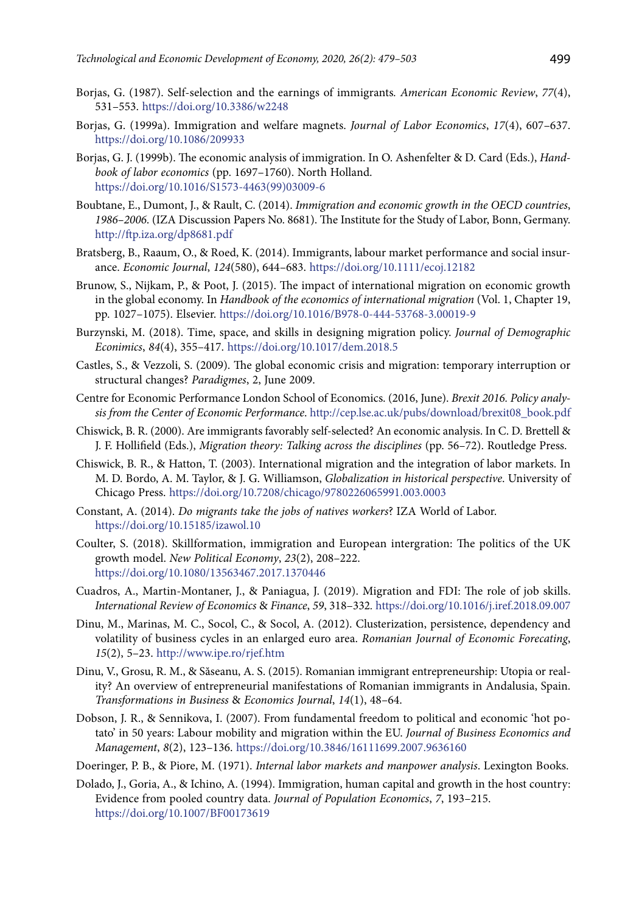- 
- Borjas, G. (1987). Self-selection and the earnings of immigrants*. American Economic Review*, *77*(4), 531–553. <https://doi.org/10.3386/w2248>
- Borjas, G. (1999a). Immigration and welfare magnets. *Journal of Labor Economics*, *17*(4), 607–637. https://doi.org/10.1086/209933
- Borjas, G. J. (1999b). The economic analysis of immigration. In O. Ashenfelter & D. Card (Eds.), *Handbook of labor economics* (pp. 1697–1760). North Holland. [https://doi.org/10.1016/S1573-4463\(99\)03009-6](https://doi.org/10.1016/S1573-4463(99)03009-6)
- Boubtane, E., Dumont, J., & Rault, C. (2014). *Immigration and economic growth in the OECD countries*, *1986–2006*. (IZA Discussion Papers No. 8681). The Institute for the Study of Labor, Bonn, Germany. <http://ftp.iza.org/dp8681.pdf>
- Bratsberg, B., Raaum, O., & Roed, K. (2014). Immigrants, labour market performance and social insurance. *Economic Journal*, *124*(580), 644–683. <https://doi.org/10.1111/ecoj.12182>
- Brunow, S., Nijkam, P., & Poot, J. (2015). The impact of international migration on economic growth in the global economy. In *Handbook of the economics of international migration* (Vol. 1, Chapter 19, pp. 1027–1075). Elsevier. <https://doi.org/10.1016/B978-0-444-53768-3.00019-9>
- Burzynski, M. (2018). Time, space, and skills in designing migration policy. *Journal of Demographic Econimics*, *84*(4), 355–417.<https://doi.org/10.1017/dem.2018.5>
- Castles, S., & Vezzoli, S. (2009). The global economic crisis and migration: temporary interruption or structural changes? *Paradigmes*, 2, June 2009.
- Centre for Economic Performance London School of Economics. (2016, June). *Brexit 2016. Policy analysis from the Center of Economic Performance*. http://cep.lse.ac.uk/pubs/download/brexit08\_book.pdf
- Chiswick, B. R. (2000). Are immigrants favorably self-selected? An economic analysis. In C. D. Brettell & J. F. Hollifield (Eds.), *Migration theory: Talking across the disciplines* (pp. 56–72). Routledge Press.
- Chiswick, B. R., & Hatton, T. (2003). International migration and the integration of labor markets. In M. D. Bordo, A. M. Taylor, & J. G. Williamson, *Globalization in historical perspective*. University of Chicago Press. <https://doi.org/10.7208/chicago/9780226065991.003.0003>
- Constant, A. (2014). *Do migrants take the jobs of natives workers*? IZA World of Labor. <https://doi.org/10.15185/izawol.10>
- Coulter, S. (2018). Skillformation, immigration and European intergration: The politics of the UK growth model. *New Political Economy*, *23*(2), 208–222. https://doi.org/10.1080/13563467.2017.1370446
- Cuadros, A., Martin-Montaner, J., & Paniagua, J. (2019). Migration and FDI: The role of job skills. *International Review of Economics* & *Finance*, *59*, 318–332*.* <https://doi.org/10.1016/j.iref.2018.09.007>
- Dinu, M., Marinas, M. C., Socol, C., & Socol, A. (2012). [Clusterization, persistence, dependency and](https://ideas.repec.org/a/rjr/romjef/vy2012i2p5-23.html) [volatility of business cycles in an enlarged euro area.](https://ideas.repec.org/a/rjr/romjef/vy2012i2p5-23.html) *Romanian Journal of Economic Forecating*, *15*(2), 5–23. <http://www.ipe.ro/rjef.htm>
- Dinu, V., Grosu, R. M., & Săseanu, A. S. (2015). Romanian immigrant entrepreneurship: Utopia or reality? An overview of entrepreneurial manifestations of Romanian immigrants in Andalusia, Spain. *Transformations in Business* & *Economics Journal*, *14*(1), 48–64.
- Dobson, J. R., & Sennikova, I. (2007). From fundamental freedom to political and economic 'hot potato' in 50 years: Labour mobility and migration within the EU. *Journal of Business Economics and Management*, *8*(2), 123–136. <https://doi.org/10.3846/16111699.2007.9636160>
- Doeringer, P. B., & Piore, M. (1971). *Internal labor markets and manpower analysis*. Lexington Books.
- Dolado, J., Goria, A., & Ichino, A. (1994). Immigration, human capital and growth in the host country: Evidence from pooled country data. *Journal of Population Economics*, *7*, 193–215. <https://doi.org/10.1007/BF00173619>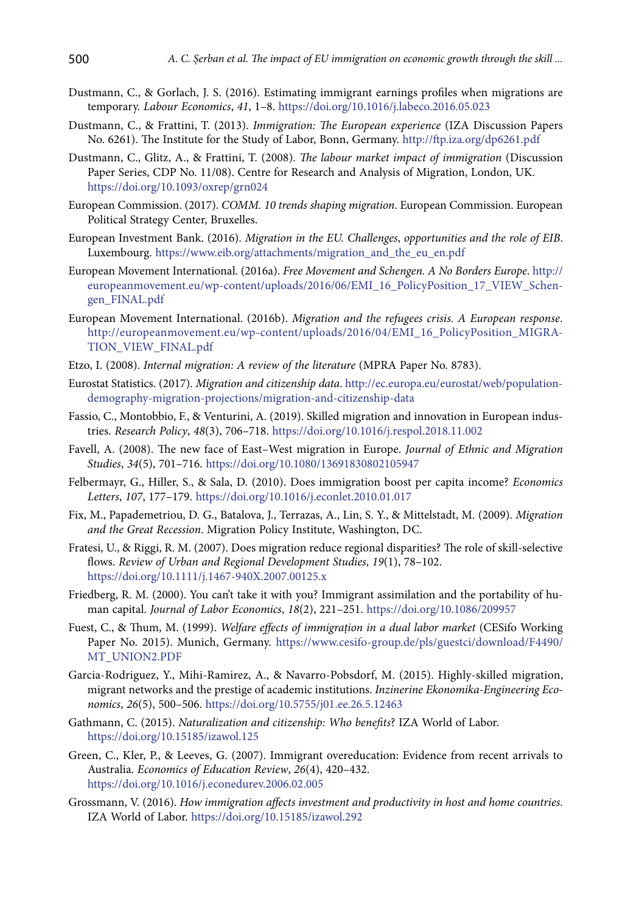- Dustmann, C., & Gorlach, J. S. (2016). Estimating immigrant earnings profiles when migrations are temporary. *Labour Economics*, *41*, 1–8. <https://doi.org/10.1016/j.labeco.2016.05.023>
- Dustmann, C., & Frattini, T. (2013). *Immigration: The European experience* (IZA Discussion Papers No. 6261). The Institute for the Study of Labor, Bonn, Germany. http://ftp.iza.org/dp6261.pdf
- Dustmann, C., Glitz, A., & Frattini, T. (2008). *The labour market impact of immigration* (Discussion Paper Series, CDP No. 11/08). Centre for Research and Analysis of Migration, London, UK. <https://doi.org/10.1093/oxrep/grn024>
- European Commission. (2017). *COMM. 10 trends shaping migration*. European Commission. European Political Strategy Center, Bruxelles.
- European Investment Bank. (2016). *Migration in the EU. Challenges*, *opportunities and the role of EIB*. Luxembourg. [https://www.eib.org/attachments/migration\\_and\\_the\\_eu\\_en.pdf](https://www.eib.org/attachments/migration_and_the_eu_en.pdf)
- European Movement International. (2016a). *Free Movement and Schengen. A No Borders Europe*. http:// europeanmovement.eu/wp-content/uploads/2016/06/EMI\_16\_PolicyPosition\_17\_VIEW\_Schengen\_FINAL.pdf
- European Movement International. (2016b). *Migration and the refugees crisis. A European response*. http://europeanmovement.eu/wp-content/uploads/2016/04/EMI\_16\_PolicyPosition\_MIGRA-TION\_VIEW\_FINAL.pdf
- Etzo, I. (2008). *Internal migration: A review of the literature* (MPRA Paper No. 8783).
- Eurostat Statistics. (2017). *Migration and citizenship data*. http://ec.europa.eu/eurostat/web/populationdemography-migration-projections/migration-and-citizenship-data
- Fassio, C., Montobbio, F., & Venturini, A. (2019). Skilled migration and innovation in European industries. *Research Policy*, *48*(3), 706–718. <https://doi.org/10.1016/j.respol.2018.11.002>
- Favell, A. (2008). The new face of East–West migration in Europe. *Journal of Ethnic and Migration Studies*, *34*(5), 701–716.<https://doi.org/10.1080/13691830802105947>
- Felbermayr, G., Hiller, S., & Sala, D. (2010). Does immigration boost per capita income? *Economics Letters*, *107*, 177–179. <https://doi.org/10.1016/j.econlet.2010.01.017>
- Fix, M., Papademetriou, D. G., Batalova, J., Terrazas, A., Lin, S. Y., & Mittelstadt, M. (2009). *Migration and the Great Recession*. Migration Policy Institute, Washington, DC.
- Fratesi, U., & Riggi, R. M. (2007). Does migration reduce regional disparities? The role of skill‐selective flows. *Review of Urban and Regional Development Studies*, *19*(1), 78–102. <https://doi.org/10.1111/j.1467-940X.2007.00125.x>
- Friedberg, R. M. (2000). You can't take it with you? Immigrant assimilation and the portability of human capital. *Journal of Labor Economics*, *18*(2), 221–251. <https://doi.org/10.1086/209957>
- Fuest, C., & Thum, M. (1999). *Welfare effects of immigrațion in a dual labor market* (CESifo Working Paper No. 2015). Munich, Germany. https://www.cesifo-group.de/pls/guestci/download/F4490/ MT\_UNION2.PDF
- Garcia-Rodriguez, Y., Mihi-Ramirez, A., & Navarro-Pobsdorf, M. (2015). Highly-skilled migration, migrant networks and the prestige of academic institutions. *Inzinerine Ekonomika-Engineering Economics*, *26*(5), 500–506. <https://doi.org/10.5755/j01.ee.26.5.12463>
- Gathmann, C. (2015). *Naturalization and citizenship: Who benefits*? IZA World of Labor. <https://doi.org/10.15185/izawol.125>
- Green, C., Kler, P., & Leeves, G. (2007). Immigrant overeducation: Evidence from recent arrivals to Australia. *Economics of Education Review*, *26*(4), 420–432. <https://doi.org/10.1016/j.econedurev.2006.02.005>
- Grossmann, V. (2016). *How immigration affects investment and productivity in host and home countries*. IZA World of Labor.<https://doi.org/10.15185/izawol.292>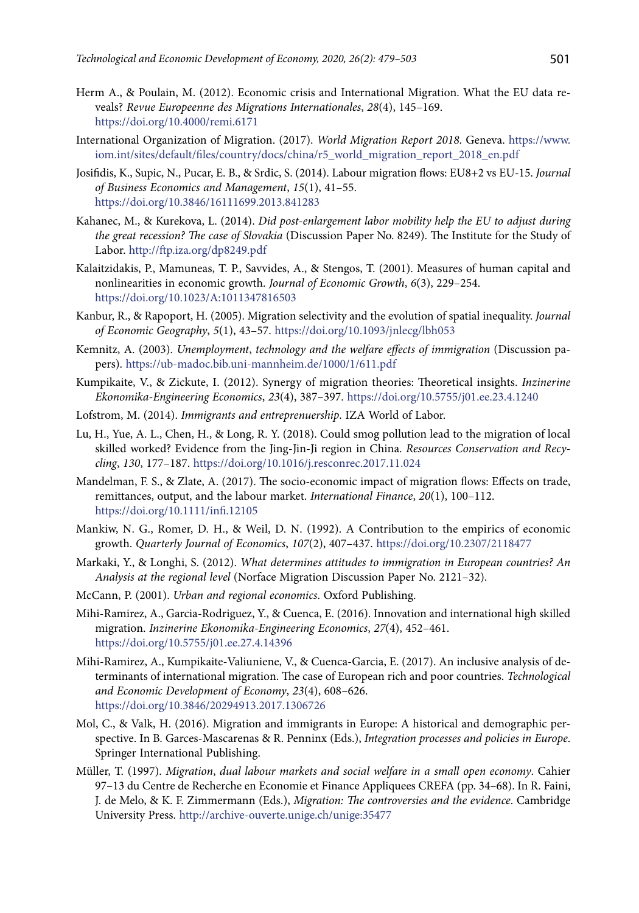- Herm A., & Poulain, M. (2012). Economic crisis and International Migration. What the EU data reveals? *Revue Europeenne des Migrations Internationales*, *28*(4), 145–169. <https://doi.org/10.4000/remi.6171>
- International Organization of Migration. (2017). *World Migration Report 2018*. Geneva. https://www. iom.int/sites/default/files/country/docs/china/r5\_world\_migration\_report\_2018\_en.pdf
- Josifidis, K., Supic, N., Pucar, E. B., & Srdic, S. (2014). Labour migration flows: EU8+2 vs EU-15. *Journal of Business Economics and Management*, *15*(1), 41–55. <https://doi.org/10.3846/16111699.2013.841283>
- Kahanec, M., & Kurekova, L. (2014). *Did post-enlargement labor mobility help the EU to adjust during the great recession? The case of Slovakia* (Discussion Paper No. 8249). The Institute for the Study of Labor. http://ftp.iza.org/dp8249.pdf
- Kalaitzidakis, P., Mamuneas, T. P., Savvides, A., & Stengos, T. (2001). Measures of human capital and nonlinearities in economic growth. *Journal of Economic Growth*, *6*(3), 229–254. <https://doi.org/10.1023/A:1011347816503>
- Kanbur, R., & Rapoport, H. (2005). Migration selectivity and the evolution of spatial inequality. *Journal of Economic Geography*, *5*(1), 43–57. <https://doi.org/10.1093/jnlecg/lbh053>
- Kemnitz, A. (2003). *Unemployment*, *technology and the welfare effects of immigration* (Discussion papers). https://ub-madoc.bib.uni-mannheim.de/1000/1/611.pdf
- Kumpikaite, V., & Zickute, I. (2012). Synergy of migration theories: Theoretical insights. *Inzinerine Ekonomika-Engineering Economics*, *23*(4), 387–397. <https://doi.org/10.5755/j01.ee.23.4.1240>
- Lofstrom, M. (2014). *Immigrants and entreprenuership*. IZA World of Labor.
- Lu, H., Yue, A. L., Chen, H., & Long, R. Y. (2018). Could smog pollution lead to the migration of local skilled worked? Evidence from the Jing-Jin-Ji region in China. *Resources Conservation and Recycling*, *130*, 177–187. <https://doi.org/10.1016/j.resconrec.2017.11.024>
- Mandelman, F. S., & Zlate, A. (2017). The socio-economic impact of migration flows: Effects on trade, remittances, output, and the labour market. *International Finance*, *20*(1), 100–112. <https://doi.org/10.1111/infi.12105>
- Mankiw, N. G., Romer, D. H., & Weil, D. N. (1992). A Contribution to the empirics of economic growth. *Quarterly Journal of Economics*, *107*(2), 407–437.<https://doi.org/10.2307/2118477>
- Markaki, Y., & Longhi, S. (2012). *What determines attitudes to immigration in European countries? An Analysis at the regional level* (Norface Migration Discussion Paper No. 2121–32).
- McCann, P. (2001). *Urban and regional economics*. Oxford Publishing.
- Mihi-Ramirez, A., Garcia-Rodriguez, Y., & Cuenca, E. (2016). Innovation and international high skilled migration. *Inzinerine Ekonomika-Engineering Economics*, *27*(4), 452–461. <https://doi.org/10.5755/j01.ee.27.4.14396>
- Mihi-Ramirez, A., Kumpikaite-Valiuniene, V., & Cuenca-Garcia, E. (2017). An inclusive analysis of determinants of international migration. The case of European rich and poor countries. *Technological and Economic Development of Economy*, *23*(4), 608–626. <https://doi.org/10.3846/20294913.2017.1306726>
- Mol, C., & Valk, H. (2016). Migration and immigrants in Europe: A historical and demographic perspective. In B. Garces-Mascarenas & R. Penninx (Eds.), *Integration processes and policies in Europe*. Springer International Publishing.
- Müller, T. (1997). *Migration*, *dual labour markets and social welfare in a small open economy*. Cahier 97–13 du Centre de Recherche en Economie et Finance Appliquees CREFA (pp. 34–68). In R. Faini, J. de Melo, & K. F. Zimmermann (Eds.), *Migration: The controversies and the evidence*. Cambridge University Press. http://archive-ouverte.unige.ch/unige:35477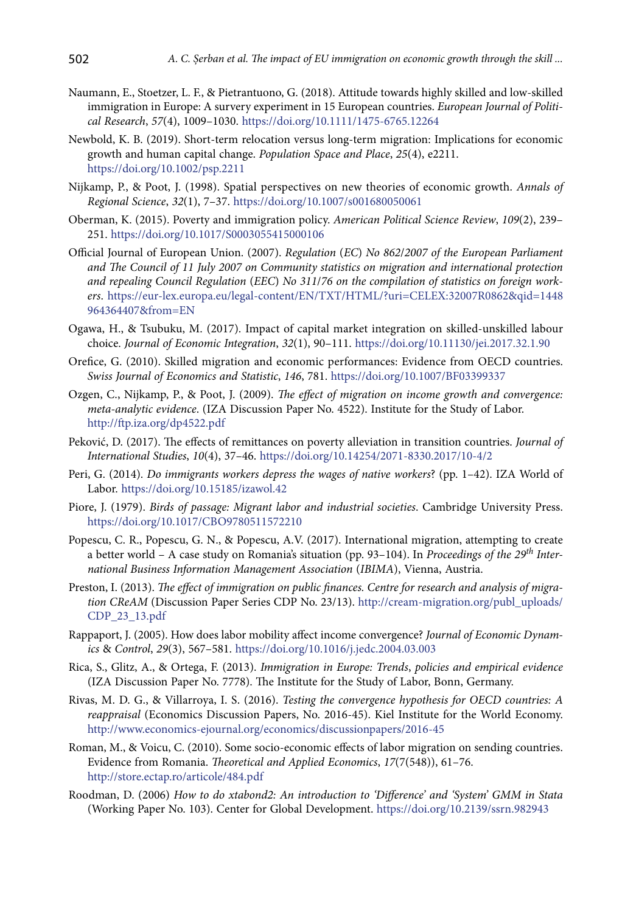- Naumann, E., Stoetzer, L. F., & Pietrantuono, G. (2018). Attitude towards highly skilled and low-skilled immigration in Europe: A survery experiment in 15 European countries. *European Journal of Political Research*, *57*(4), 1009–1030. https://doi.org/10.1111/1475-6765.12264
- Newbold, K. B. (2019). Short-term relocation versus long-term migration: Implications for economic growth and human capital change. *Population Space and Place*, *25*(4), e2211. <https://doi.org/10.1002/psp.2211>
- Nijkamp, P., & Poot, J. (1998). Spatial perspectives on new theories of economic growth. *Annals of Regional Science*, *32*(1), 7–37. <https://doi.org/10.1007/s001680050061>
- Oberman, K. (2015). Poverty and immigration policy. *American Political Science Review*, *109*(2), 239– 251. <https://doi.org/10.1017/S0003055415000106>
- Official Journal of European Union. (2007). *Regulation* (*EC*) *No 862*/*2007 of the European Parliament and The Council of 11 July 2007 on Community statistics on migration and international protection and repealing Council Regulation* (*EEC*) *No 311*/*76 on the compilation of statistics on foreign workers*. https://eur-lex.europa.eu/legal-content/EN/TXT/HTML/?uri=CELEX:32007R0862&qid=1448 964364407&from=EN
- Ogawa, H., & Tsubuku, M. (2017). Impact of capital market integration on skilled-unskilled labour choice. *Journal of Economic Integration*, *32*(1), 90–111. <https://doi.org/10.11130/jei.2017.32.1.90>
- Orefice, G. (2010). Skilled migration and economic performances: Evidence from OECD countries. *Swiss Journal of Economics and Statistic*, *146*, 781. <https://doi.org/10.1007/BF03399337>
- Ozgen, C., Nijkamp, P., & Poot, J. (2009). *The effect of migration on income growth and convergence: meta-analytic evidence*. (IZA Discussion Paper No. 4522). Institute for the Study of Labor. <http://ftp.iza.org/dp4522.pdf>
- Peković, D. (2017). The effects of remittances on poverty alleviation in transition countries. *Journal of International Studies*, *10*(4), 37–46. <https://doi.org/10.14254/2071-8330.2017/10-4/2>
- Peri, G. (2014). *Do immigrants workers depress the wages of native workers*? (pp. 1–42). IZA World of Labor.<https://doi.org/10.15185/izawol.42>
- Piore, J. (1979). *Birds of passage: Migrant labor and industrial societies*. Cambridge University Press. <https://doi.org/10.1017/CBO9780511572210>
- Popescu, C. R., Popescu, G. N., & Popescu, A.V. (2017). International migration, attempting to create a better world – A case study on Romania's situation (pp. 93–104). In *Proceedings of the 29th International Business Information Management Association* (*IBIMA*), Vienna, Austria.
- Preston, I. (2013). *The effect of immigration on public finances. Centre for research and analysis of migration CReAM* (Discussion Paper Series CDP No. 23/13). http://cream-migration.org/publ\_uploads/ CDP\_23\_13.pdf
- Rappaport, J. (2005). How does labor mobility affect income convergence? *Journal of Economic Dynamics* & *Control*, *29*(3), 567–581. <https://doi.org/10.1016/j.jedc.2004.03.003>
- Rica, S., Glitz, A., & Ortega, F. (2013). *Immigration in Europe: Trends*, *policies and empirical evidence* (IZA Discussion Paper No. 7778). The Institute for the Study of Labor, Bonn, Germany.
- Rivas, M. D. G., & Villarroya, I. S. (2016). *Testing the convergence hypothesis for OECD countries: A reappraisal* (Economics Discussion Papers, No. 2016-45). Kiel Institute for the World Economy. http://www.economics-ejournal.org/economics/discussionpapers/2016-45
- Roman, M., & Voicu, C. (2010). Some socio-economic effects of labor migration on sending countries. Evidence from Romania. *Theoretical and Applied Economics*, *17*(7(548)), 61–76. http://store.ectap.ro/articole/484.pdf
- Roodman, D. (2006) *How to do xtabond2: An introduction to 'Difference' and 'System' GMM in Stata* (Working Paper No. 103). Center for Global Development. <https://doi.org/10.2139/ssrn.982943>